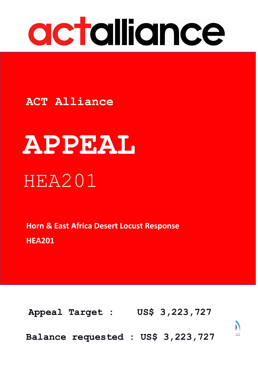

# **ACT Alliance**

# **APPEAL** HEA201

**Horn & East Africa Desert Locust Response HEA201** 

 $\mathbf{S} = \mathbf{S} + \mathbf{S}$  150, 1311  $\mathbf{S} = \mathbf{S}$  1211  $\mathbf{S} = \mathbf{S}$  1212  $\mathbf{S} = \mathbf{S}$ www.actalliance.org **[Appeal](http://www.actalliance.org/) Target : US\$ 3,223,727**



**Balance requested : US\$ 3,223,727**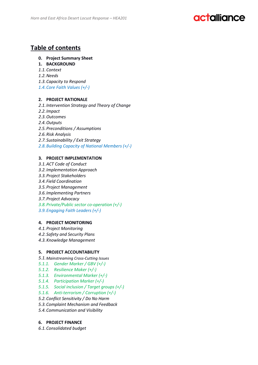### **Table of contents**

#### **0. Project Summary Sheet**

- **1. BACKGROUND**
- *1.1.Context*
- *1.2.Needs*
- *1.3.Capacity to Respond*
- *1.4.Core Faith Values (+/-)*

#### **2. PROJECT RATIONALE**

- *2.1.Intervention Strategy and Theory of Change*
- *2.2.Impact*
- *2.3.Outcomes*
- *2.4.Outputs*
- *2.5.Preconditions / Assumptions*
- *2.6.Risk Analysis*
- *2.7.Sustainability / Exit Strategy*
- *2.8.Building Capacity of National Members (+/-)*

#### **3. PROJECT IMPLEMENTATION**

- *3.1.ACT Code of Conduct*
- *3.2.Implementation Approach*
- *3.3.Project Stakeholders*
- *3.4.Field Coordination*
- *3.5.Project Management*
- *3.6.Implementing Partners*
- *3.7.Project Advocacy*
- *3.8.Private/Public sector co-operation (+/-)*
- *3.9.Engaging Faith Leaders (+/-)*

#### **4. PROJECT MONITORING**

- *4.1.Project Monitoring*
- *4.2.Safety and Security Plans*
- *4.3.Knowledge Management*

#### **5. PROJECT ACCOUNTABILITY**

- *5.1.Mainstreaming Cross-Cutting Issues*
- *5.1.1. Gender Marker / GBV (+/-)*
- *5.1.2. Resilience Maker (+/-)*
- *5.1.3. Environmental Marker (+/-)*
- *5.1.4. Participation Marker (+/-)*
- *5.1.5. Social inclusion / Target groups (+/-)*
- *5.1.6. Anti-terrorism / Corruption (+/-)*
- *5.2.Conflict Sensitivity / Do No Harm*
- *5.3.Complaint Mechanism and Feedback*
- *5.4.Communication and Visibility*

#### **6. PROJECT FINANCE**

*6.1.Consolidated budget*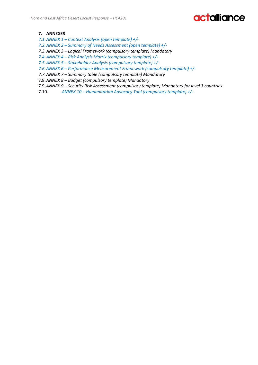#### **7. ANNEXES**

- *7.1.ANNEX 1 – Context Analysis (open template) +/-*
- *7.2.ANNEX 2 – Summary of Needs Assessment (open template) +/-*
- *7.3.ANNEX 3 – Logical Framework (compulsory template) Mandatory*
- *7.4.ANNEX 4 – Risk Analysis Matrix (compulsory template) +/-*
- *7.5.ANNEX 5 – Stakeholder Analysis (compulsory template) +/-*
- *7.6.ANNEX 6 – Performance Measurement Framework (compulsory template) +/-*
- *7.7.ANNEX 7 – Summary table (compulsory template) Mandatory*
- 7.8.*ANNEX 8 – Budget (compulsory template) Mandatory*
- 7.9.*ANNEX 9 – Security Risk Assessment (compulsory template) Mandatory for level 3 countries*
- 7.10. *ANNEX 10 – Humanitarian Advocacy Tool (compulsory template) +/-*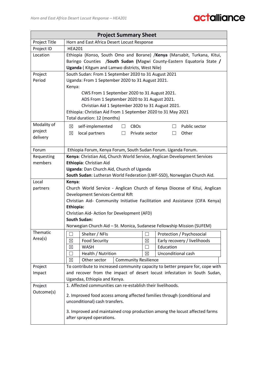|               | <b>Project Summary Sheet</b>                                                                                    |  |  |  |  |  |
|---------------|-----------------------------------------------------------------------------------------------------------------|--|--|--|--|--|
| Project Title | Horn and East Africa Desert Locust Response                                                                     |  |  |  |  |  |
| Project ID    | <b>HEA201</b>                                                                                                   |  |  |  |  |  |
| Location      | Ethiopia (Konso, South Omo and Borane) / Kenya (Marsabit, Turkana, Kitui,                                       |  |  |  |  |  |
|               | Baringo Counties /South Sudan (Magwi County-Eastern Equatoria State /                                           |  |  |  |  |  |
|               | Uganda (Kitgum and Lamwo districts, West Nile)                                                                  |  |  |  |  |  |
| Project       | South Sudan: From 1 September 2020 to 31 August 2021                                                            |  |  |  |  |  |
| Period        | Uganda: From 1 September 2020 to 31 August 2021.                                                                |  |  |  |  |  |
|               | Kenya:                                                                                                          |  |  |  |  |  |
|               | CWS From 1 September 2020 to 31 August 2021.<br>ADS From 1 September 2020 to 31 August 2021.                    |  |  |  |  |  |
|               | Christian Aid 1 September 2020 to 31 August 2021.                                                               |  |  |  |  |  |
|               | Ethiopia: Christian Aid From 1 September 2020 to 31 May 2021                                                    |  |  |  |  |  |
|               | Total duration: 12 (months)                                                                                     |  |  |  |  |  |
| Modality of   | $\boxtimes$<br>self-implemented<br><b>CBOs</b><br>Public sector<br>$\Box$<br>$\Box$                             |  |  |  |  |  |
| project       | local partners<br>Other<br>$\boxtimes$<br>Private sector<br>П<br>$\perp$                                        |  |  |  |  |  |
| delivery      |                                                                                                                 |  |  |  |  |  |
|               |                                                                                                                 |  |  |  |  |  |
| Forum         | Ethiopia Forum, Kenya Forum, South Sudan Forum. Uganda Forum.                                                   |  |  |  |  |  |
| Requesting    | Kenya: Christian Aid, Church World Service, Anglican Development Services                                       |  |  |  |  |  |
| members       | Ethiopia: Christian Aid                                                                                         |  |  |  |  |  |
|               | Uganda: Dan Church Aid, Church of Uganda                                                                        |  |  |  |  |  |
|               | South Sudan: Lutheran World Federation (LWF-SSD), Norwegian Church Aid.                                         |  |  |  |  |  |
| Local         | Kenya:                                                                                                          |  |  |  |  |  |
| partners      | Church World Service - Anglican Church of Kenya Diocese of Kitui, Anglican<br>Development Services-Central Rift |  |  |  |  |  |
|               | Christian Aid- Community Initiative Facilitation and Assistance (CIFA Kenya)                                    |  |  |  |  |  |
|               | Ethiopia:                                                                                                       |  |  |  |  |  |
|               | Christian Aid-Action for Development (AFD)                                                                      |  |  |  |  |  |
|               | <b>South Sudan:</b>                                                                                             |  |  |  |  |  |
|               | Norwegian Church Aid - St. Monica, Sudanese Fellowship Mission (SUFEM)                                          |  |  |  |  |  |
| Thematic      | Shelter / NFIs<br>Protection / Psychosocial<br>$\vert \ \ \vert$                                                |  |  |  |  |  |
| Area(s)       | <b>Food Security</b><br>$\boxtimes$<br>Early recovery / livelihoods<br>⊠                                        |  |  |  |  |  |
|               | Education<br>⊠<br><b>WASH</b><br>$\vert \ \ \vert$                                                              |  |  |  |  |  |
|               | Health / Nutrition<br>Unconditional cash<br>$\boxtimes$<br>$\vert \ \ \vert$                                    |  |  |  |  |  |
|               | $\boxtimes$<br>Other sector<br><b>Community Resilience</b>                                                      |  |  |  |  |  |
| Project       | To contribute to increased community capacity to better prepare for, cope with                                  |  |  |  |  |  |
| Impact        | and recover from the impact of desert locust infestation in South Sudan,                                        |  |  |  |  |  |
|               | Ugandaa, Ethiopia and Kenya.                                                                                    |  |  |  |  |  |
| Project       | 1. Affected communities can re-establish their livelihoods.                                                     |  |  |  |  |  |
| Outcome(s)    | 2. Improved food access among affected families through (conditional and                                        |  |  |  |  |  |
|               | unconditional) cash transfers.                                                                                  |  |  |  |  |  |
|               |                                                                                                                 |  |  |  |  |  |
|               | 3. Improved and maintained crop production among the locust affected farms<br>after sprayed operations.         |  |  |  |  |  |
|               |                                                                                                                 |  |  |  |  |  |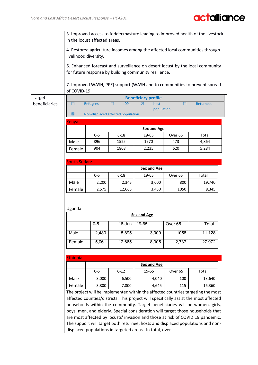|               | 3. Improved access to fodder/pasture leading to improved health of the livestock<br>in the locust affected areas.                          |                 |                                   |                                                       |                    |                                                                                      |  |  |
|---------------|--------------------------------------------------------------------------------------------------------------------------------------------|-----------------|-----------------------------------|-------------------------------------------------------|--------------------|--------------------------------------------------------------------------------------|--|--|
|               | 4. Restored agriculture incomes among the affected local communities through<br>livelihood diversity.                                      |                 |                                   |                                                       |                    |                                                                                      |  |  |
|               |                                                                                                                                            |                 |                                   | for future response by building community resilience. |                    | 6. Enhanced forecast and surveillance on desert locust by the local community        |  |  |
|               | of COVID-19.                                                                                                                               |                 |                                   |                                                       |                    | 7. Improved WASH, PPE) support (WASH and to communities to prevent spread            |  |  |
| Target        | <b>Beneficiary profile</b>                                                                                                                 |                 |                                   |                                                       |                    |                                                                                      |  |  |
| beneficiaries | П.                                                                                                                                         | <b>Refugees</b> | <b>IDPs</b><br>П                  | $\boxtimes$<br>host                                   | п                  | <b>Returnees</b>                                                                     |  |  |
|               |                                                                                                                                            |                 |                                   | population                                            |                    |                                                                                      |  |  |
|               | $\boxtimes$                                                                                                                                |                 | Non-displaced affected population |                                                       |                    |                                                                                      |  |  |
|               | Kenya:                                                                                                                                     |                 |                                   |                                                       |                    |                                                                                      |  |  |
|               |                                                                                                                                            |                 |                                   | <b>Sex and Age</b>                                    |                    |                                                                                      |  |  |
|               |                                                                                                                                            | $0 - 5$         | $6 - 18$                          | 19-65                                                 | Over 65            | Total                                                                                |  |  |
|               | Male                                                                                                                                       | 896             | 1525                              | 1970                                                  | 473                | 4,864                                                                                |  |  |
|               | Female                                                                                                                                     | 904             | 1808                              | 2,235                                                 | 620                | 5,284                                                                                |  |  |
|               |                                                                                                                                            |                 |                                   |                                                       |                    |                                                                                      |  |  |
|               | <b>South Sudan:</b>                                                                                                                        |                 |                                   |                                                       |                    |                                                                                      |  |  |
|               |                                                                                                                                            |                 |                                   | <b>Sex and Age</b>                                    |                    |                                                                                      |  |  |
|               |                                                                                                                                            | $0-5$           | $6 - 18$                          | 19-65                                                 | Over 65            | Total                                                                                |  |  |
|               | Male                                                                                                                                       | 2,200           | 2,345                             | 3,000                                                 | 800                | 19,740                                                                               |  |  |
|               | Female                                                                                                                                     | 2,575           | 12,665                            | 3,450                                                 | 1050               | 8,345                                                                                |  |  |
|               |                                                                                                                                            |                 |                                   |                                                       |                    |                                                                                      |  |  |
|               |                                                                                                                                            |                 |                                   |                                                       |                    |                                                                                      |  |  |
|               | Uganda:                                                                                                                                    |                 |                                   |                                                       |                    |                                                                                      |  |  |
|               |                                                                                                                                            |                 |                                   | <b>Sex and Age</b>                                    |                    |                                                                                      |  |  |
|               |                                                                                                                                            | $0-5$           | 18-Jun                            | 19-65                                                 | Over <sub>65</sub> | Total                                                                                |  |  |
|               |                                                                                                                                            |                 |                                   |                                                       |                    |                                                                                      |  |  |
|               | Male                                                                                                                                       | 2,480           | 5,895                             | 3,000                                                 | 1058               | 11,128                                                                               |  |  |
|               | Female                                                                                                                                     | 5,061           | 12,665                            | 8,305                                                 | 2,737              | 27,972                                                                               |  |  |
|               |                                                                                                                                            |                 |                                   |                                                       |                    |                                                                                      |  |  |
|               | <b>Ethiopia</b>                                                                                                                            |                 |                                   |                                                       |                    |                                                                                      |  |  |
|               |                                                                                                                                            |                 |                                   | <b>Sex and Age</b>                                    |                    |                                                                                      |  |  |
|               |                                                                                                                                            | $0 - 5$         | $6 - 12$                          | 19-65                                                 | Over 65            | Total                                                                                |  |  |
|               | Male                                                                                                                                       | 3,000           | 6,500                             | 4,040                                                 | 100                | 13,640                                                                               |  |  |
|               | Female                                                                                                                                     | 3,800           | 7,800                             | 4,645                                                 | 115                | 16,360                                                                               |  |  |
|               |                                                                                                                                            |                 |                                   |                                                       |                    | The project will be implemented within the affected countries targeting the most     |  |  |
|               |                                                                                                                                            |                 |                                   |                                                       |                    | affected counties/districts. This project will specifically assist the most affected |  |  |
|               |                                                                                                                                            |                 |                                   |                                                       |                    | households within the community. Target beneficiaries will be women, girls,          |  |  |
|               |                                                                                                                                            |                 |                                   |                                                       |                    | boys, men, and elderly. Special consideration will target those households that      |  |  |
|               |                                                                                                                                            |                 |                                   |                                                       |                    | are most affected by locusts' invasion and those at risk of COVID 19 pandemic.       |  |  |
|               |                                                                                                                                            |                 |                                   |                                                       |                    |                                                                                      |  |  |
|               | The support will target both returnee, hosts and displaced populations and non-<br>displaced populations in targeted areas. In total, over |                 |                                   |                                                       |                    |                                                                                      |  |  |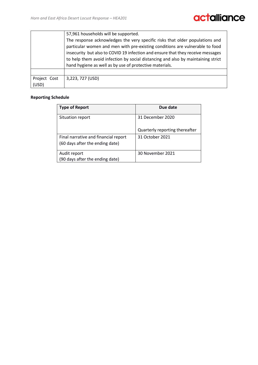|                                                                                 | 57,961 households will be supported.                                             |  |  |  |  |  |
|---------------------------------------------------------------------------------|----------------------------------------------------------------------------------|--|--|--|--|--|
|                                                                                 | The response acknowledges the very specific risks that older populations and     |  |  |  |  |  |
|                                                                                 | particular women and men with pre-existing conditions are vulnerable to food     |  |  |  |  |  |
| insecurity but also to COVID 19 infection and ensure that they receive messages |                                                                                  |  |  |  |  |  |
|                                                                                 | to help them avoid infection by social distancing and also by maintaining strict |  |  |  |  |  |
|                                                                                 | hand hygiene as well as by use of protective materials.                          |  |  |  |  |  |
|                                                                                 |                                                                                  |  |  |  |  |  |
| Project Cost                                                                    | 3,223, 727 (USD)                                                                 |  |  |  |  |  |
| (USD)                                                                           |                                                                                  |  |  |  |  |  |

#### **Reporting Schedule**

| <b>Type of Report</b>                                                   | Due date                       |
|-------------------------------------------------------------------------|--------------------------------|
| Situation report                                                        | 31 December 2020               |
|                                                                         | Quarterly reporting thereafter |
| Final narrative and financial report<br>(60 days after the ending date) | 31 October 2021                |
| Audit report<br>(90 days after the ending date)                         | 30 November 2021               |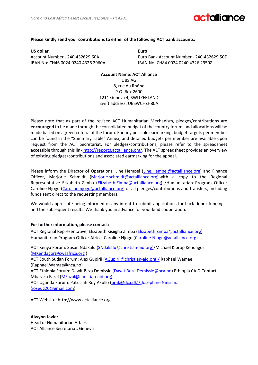### **Miliance**

#### **Please kindly send your contributions to either of the following ACT bank accounts:**

**US dollar Euro** IBAN No: CH46 0024 0240 4326 2960A IBAN No: CH84 0024 0240 4326 2950Z

Account Number - 240-432629.60A Euro Bank Account Number - 240-432629.50Z

#### **Account Name: ACT Alliance**

UBS AG 8, rue du Rhône P.O. Box 2600 1211 Geneva 4, SWITZERLAND Swift address: UBSWCHZH80A

Please note that as part of the revised ACT Humanitarian Mechanism, pledges/contributions are **encouraged** to be made through the consolidated budget of the country forum, and allocations will be made based on agreed criteria of the forum. For any possible earmarking, budget targets per member can be found in the "Summary Table" Annex, and detailed budgets per member are available upon request from the ACT Secretariat. For pledges/contributions, please refer to the spreadsheet accessible through this link http://reports.actalliance.org/. The ACT spreadsheet provides an overview of existing pledges/contributions and associated earmarking for the appeal.

Please inform the Director of Operations, Line Hempel [\(Line.Hempel@actalliance.org\)](mailto:Line.Hempel@actalliance.org) and Finance Officer, Marjorie Schmidt (Marjorie.schmidt@actalliance.org) with a copy to the Regional Representative Elizabeth Zimba [\(Elizabeth.Zimba@actalliance.org\)](mailto:Elizabeth.Zimba@actalliance.org) /Humanitarian Program Officer Caroline Njogu [\(Caroline.njogu@actalliance.org\)](mailto:Caroline.njogu@actalliance.org) of all pledges/contributions and transfers, including funds sent direct to the requesting members.

We would appreciate being informed of any intent to submit applications for back donor funding and the subsequent results. We thank you in advance for your kind cooperation.

#### **For further information, please contact:**

ACT Regional Representative, Elizabeth Kisiigha Zimba (Elizabeth.Zimba@actalliance.org) Humanitarian Program Officer Africa, Caroline Njogu [\(Caroline.Njogu@actalliance.org\)](mailto:Caroline.Njogu@actalliance.org)

ACT Kenya Forum: Susan Ndakalu [\(SNdakalu@christian-aid.org\)/M](mailto:SNdakalu@christian-aid.org)/)ichael Kiprop Kendagor (MKendagor@cwsafrica.org ) ACT South Sudan Forum: Alex Gupirii [\(AGupirii@christian-aid.org\)/](mailto:AGupirii@christian-aid.org)/) Raphael Wamae (Raphael.Wamae@nca.no) ACT Ethiopia Forum: Dawit Beza Demissie [\(Dawit.Beza.Demissie@nca.no\)](mailto:Dawit.Beza.Demissie@nca.no) Ethiopia CAID Contact Mbaraka Fazal (MFazal@christian-aid.org) ACT Uganda Forum: Patriciah Roy Akullo (prak@dca.dk)/Josephine Ninsiima [\(joseug20@gmail.com\)](mailto:joseug20@gmail.com)

ACT Website: [http://www.actalliance.org](http://www.actalliance.org/)

#### **Alwynn Javier** Head of Humanitarian Affairs

ACT Alliance Secretariat, Geneva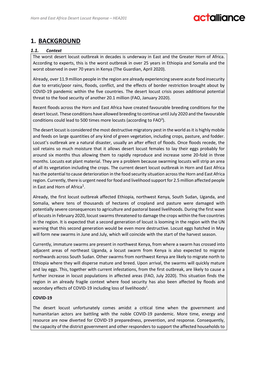### **1. BACKGROUND**

#### *1.1. Context*

The worst desert locust outbreak in decades is underway in East and the Greater Horn of Africa. According to experts, this is the worst outbreak in over 25 years in Ethiopia and Somalia and the worst observed in over 70 years in Kenya (The Guardian, April 2020).

Already, over 11.9 million people in the region are already experiencing severe acute food insecurity due to erratic/poor rains, floods, conflict, and the effects of border restriction brought about by COVID-19 pandemic within the five countries. The desert locust crisis poses additional potential threat to the food security of another 20.1 million (FAO, January 2020).

Recent floods across the Horn and East Africa have created favourable breeding conditions for the desert locust. These conditions have allowed breeding to continue until July 2020 and the favourable conditions could lead to 500 times more locusts (according to FAO<sup>3</sup>).

The desert locust is considered the most destructive migratory pest in the world as it is highly mobile and feeds on large quantities of any kind of green vegetation, including crops, pasture, and fodder. Locust's outbreak are a natural disaster, usually an after effect of floods. Once floods recede, the soil retains so much moisture that it allows desert locust females to lay their eggs probably for around six months thus allowing them to rapidly reproduce and increase some 20-fold in three months. Locusts eat plant material. They are a problem because swarming locusts will strip an area of all its vegetation including the crops. The current desert locust outbreak in Horn and East Africa has the potential to cause deterioration in the food security situation across the Horn and East Africa region. Currently, there is urgent need for food and livelihood support for 2.5 million affected people in East and Horn of Africa<sup>1</sup>.

Already, the first locust outbreak affected Ethiopia, northwest Kenya, South Sudan, Uganda, and Somalia, where tens of thousands of hectares of cropland and pasture were damaged with potentially severe consequences to agriculture and pastoral based livelihoods. During the first wave of locusts in February 2020, locust swarms threatened to damage the crops within the five countries in the region. It is expected that a second generation of locust is looming in the region with the UN warning that this second generation would be even more destructive. Locust eggs hatched in May will form new swarms in June and July, which will coincide with the start of the harvest season.

Currently, immature swarms are present in northwest Kenya, from where a swarm has crossed into adjacent areas of northeast Uganda, a locust swarm from Kenya is also expected to migrate northwards across South Sudan. Other swarms from northwest Kenya are likely to migrate north to Ethiopia where they will disperse mature and breed. Upon arrival, the swarms will quickly mature and lay eggs. This, together with current infestations, from the first outbreak, are likely to cause a further increase in locust populations in affected areas (FAO, July 2020). This situation finds the region in an already fragile context where food security has also been affected by floods and secondary effects of COVID-19 including loss of livelihoods<sup>2</sup>.

#### **COVID-19**

The desert locust unfortunately comes amidst a critical time when the government and humanitarian actors are battling with the noble COVID-19 pandemic. More time, energy and resource are now diverted for COVID-19 preparedness, prevention, and response. Consequently, the capacity of the district government and other responders to support the affected households to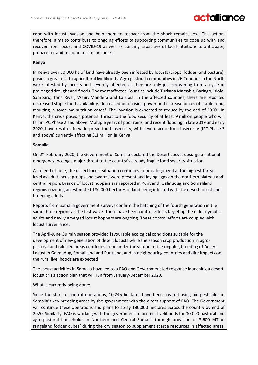## **Fallianc**

cope with locust invasion and help them to recover from the shock remains low. This action, therefore, aims to contribute to ongoing efforts of supporting communities to cope up with and recover from locust and COVID-19 as well as building capacities of local intuitions to anticipate, prepare for and respond to similar shocks.

#### **Kenya**

In Kenya over 70,000 ha of land have already been infested by locusts (crops, fodder, and pasture), posing a great risk to agricultural livelihoods. Agro pastoral communities in 26 Counties in the North were infested by locusts and severely affected as they are only just recovering from a cycle of prolonged drought and floods. The most affected Counties include Turkana Marsabit, Baringo, Isiolo, Samburu, Tana River, Wajir, Mandera and Laikipia. In the affected counties, there are reported decreased staple food availability, decreased purchasing power and increase prices of staple food, resulting in some malnutrition cases<sup>4</sup>. The invasion is expected to reduce by the end of 2020<sup>5</sup>. In Kenya, the crisis poses a potential threat to the food security of at least 9 million people who will fall in IPC Phase 2 and above. Multiple years of poor rains, and recent flooding in late 2019 and early 2020, have resulted in widespread food insecurity, with severe acute food insecurity (IPC Phase 3 and above) currently affecting 3.1 million in Kenya.

#### **Somalia**

On 2<sup>nd</sup> February 2020, the Government of Somalia declared the Desert Locust upsurge a national emergency, posing a major threat to the country's already fragile food security situation.

As of end of June, the desert locust situation continues to be categorized at the highest threat level as adult locust groups and swarms were present and laying eggs on the northern plateau and central region. Brands of locust hoppers are reported in Puntland, Galmudug and Somaliland regions covering an estimated 180,000 hectares of land being infested with the desert locust and breeding adults.

Reports from Somalia government surveys confirm the hatching of the fourth generation in the same three regions as the first wave. There have been control efforts targeting the older nymphs, adults and newly emerged locust hoppers are ongoing. These control efforts are coupled with locust surveillance.

The April-June Gu rain season provided favourable ecological conditions suitable for the development of new generation of desert locusts while the season crop production in agropastoral and rain-fed areas continues to be under threat due to the ongoing breeding of Desert Locust in Galmudug, Somaliland and Puntland, and in neighbouring countries and dire impacts on the rural livelihoods are expected<sup>6</sup>.

The locust activities in Somalia have led to a FAO and Government led response launching a desert locust crisis action plan that will run from January-December 2020.

#### What is currently being done:

Since the start of control operations, 10,245 hectares have been treated using bio-pesticides in Somalia's key breeding areas by the government with the direct support of FAO. The Government will continue these operations and plans to spray 180,000 hectares across the country by end of 2020. Similarly, FAO is working with the government to protect livelihoods for 30,000 pastoral and agro-pastoral households in Northern and Central Somalia through provision of 3,600 MT of rangeland fodder cubes<sup>7</sup> during the dry season to supplement scarce resources in affected areas.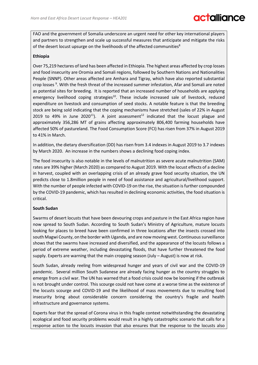# **Falliance**

FAO and the government of Somalia underscore an urgent need for other key international players and partners to strengthen and scale up successful measures that anticipate and mitigate the risks of the desert locust upsurge on the livelihoods of the affected communities<sup>8</sup>

#### **Ethiopia**

Over 75,219 hectares of land has been affected in Ethiopia. The highest areas affected by crop losses and food insecurity are Oromia and Somali regions, followed by Southern Nations and Nationalities People (SNNP). Other areas affected are Amhara and Tigray, which have also reported substantial crop losses<sup>9</sup>. With the fresh threat of the increased summer infestation, Afar and Somali are noted as potential sites for breeding. It is reported that an increased number of households are applying emergency livelihood coping strategies<sup>10</sup>. These include increased sale of livestock, reduced expenditure on livestock and consumption of seed stocks. A notable feature is that the breeding stock are being sold indicating that the coping mechanisms have stretched (sales of 22% in August 2019 to 49% in June 2020<sup>11</sup>). A joint assessment<sup>12</sup> indicated that the locust plague and approximately 356,286 MT of grains affecting approximately 806,400 farming households have affected 50% of pastureland. The Food Consumption Score (FCI) has risen from 37% in August 2019 to 41% in March.

In addition, the dietary diversification (DD) has risen from 3.4 indexes in August 2019 to 3.7 indexes by March 2020. An increase in the numbers shows a declining food coping index.

The food insecurity is also notable in the levels of malnutrition as severe acute malnutrition (SAM) rates are 39% higher (March 2020) as compared to August 2019. With the locust effects of a decline in harvest, coupled with an overlapping crisis of an already grave food security situation, the UN predicts close to 1.8million people in need of food assistance and agricultural/livelihood support. With the number of people infected with COVID-19 on the rise, the situation is further compounded by the COVID-19 pandemic, which has resulted in declining economic activities, the food situation is critical.

#### **South Sudan**

Swarms of desert locusts that have been devouring crops and pasture in the East Africa region have now spread to South Sudan. According to South Sudan's Ministry of Agriculture, mature locusts looking for places to breed have been confirmed in three locations after the insects crossed into south Magwi County, on the border with Uganda, and are now moving west. Continuous surveillance shows that the swarms have increased and diversified, and the appearance of the locusts follows a period of extreme weather, including devastating floods, that have further threatened the food supply. Experts are warning that the main cropping season (July – August) is now at risk.

South Sudan, already reeling from widespread hunger and years of civil war and the COVID-19 pandemic. Several million South Sudanese are already facing hunger as the country struggles to emerge from a civil war. The UN has warned that a food crisis could now be looming if the outbreak is not brought under control. This scourge could not have come at a worse time as the existence of the locusts scourge and COVID-19 and the likelihood of mass movements due to resulting food insecurity bring about considerable concern considering the country's fragile and health infrastructure and governance systems.

Experts fear that the spread of Corona virus in this fragile context notwithstanding the devastating ecological and food security problems would result in a highly catastrophic scenario that calls for a response action to the locusts invasion that also ensures that the response to the locusts also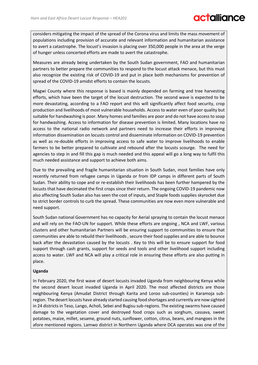considers mitigating the impact of the spread of the Corona virus and limits the mass movement of populations including provision of accurate and relevant information and humanitarian assistance to avert a catastrophe. The locust's invasion is placing over 350,000 people in the area at the verge of hunger unless concerted efforts are made to avert the catastrophe.

Measures are already being undertaken by the South Sudan government, FAO and humanitarian partners to better prepare the communities to respond to the locust attack menace, but this must also recognize the existing risk of COVID-19 and put in place both mechanisms for prevention of spread of the COVID-19 amidst efforts to contain the locusts.

Magwi County where this response is based is mainly depended on farming and tree harvesting efforts, which have been the target of the locust destruction. The second wave is expected to be more devastating, according to a FAO report and this will significantly affect food security, crop production and livelihoods of most vulnerable households. Access to water even of poor quality but suitable for handwashing is poor. Many homes and families are poor and do not have access to soap for handwashing. Access to information for disease prevention is limited. Many locations have no access to the national radio network and partners need to increase their efforts in improving information dissemination on locusts control and disseminate information on COVID-19 prevention as well as re-double efforts in improving access to safe water to improve livelihoods to enable farmers to be better prepared to cultivate and rebound after the locusts scourge. The need for agencies to step in and fill this gap is much needed and this appeal will go a long way to fulfil this much needed assistance and support to achieve both aims.

Due to the prevailing and fragile humanitarian situation in South Sudan, most families have only recently returned from refugee camps in Uganda or from IDP camps in different parts of South Sudan. Their ability to cope and or re-establish their livelihoods has been further hampered by the locusts that have decimated the first crops since their return. The ongoing COVID-19 pandemic now also affecting South Sudan also has seen the cost of inputs, and Staple foods supplies skyrocket due to strict border controls to curb the spread. These communities are now even more vulnerable and need support.

South Sudan national Government has no capacity for Aerial spraying to contain the locust menace and will rely on the FAO-UN for support. While these efforts are ongoing , NCA and LWF, various clusters and other humanitarian Partners will be ensuring support to communities to ensure that communities are able to rebuild their livelihoods , secure their food supplies and are able to bounce back after the devastation caused by the locusts . Key to this will be to ensure support for food support through cash grants, support for seeds and tools and other livelihood support including access to water. LWF and NCA will play a critical role in ensuring these efforts are also putting in place.

#### **Uganda**

In February 2020, the first wave of desert locusts invaded Uganda from neighbouring Kenya while the second desert locust invaded Uganda in April 2020. The most affected districts are those neighbouring Kenya (Amudat District through Karita and Loroo sub-counties) in Karamoja subregion. The desert locusts have already started causing food shortages and currently are now sighted in 24 districts in Teso, Lango, Acholi, Sebei and Bugisu sub-regions. The existing swarms have caused damage to the vegetation cover and destroyed food crops such as sorghum, cassava, sweet potatoes, maize, millet, sesame, ground nuts, sunflower, cotton, citrus, beans, and mangoes in the afore mentioned regions. Lamwo district in Northern Uganda where DCA operates was one of the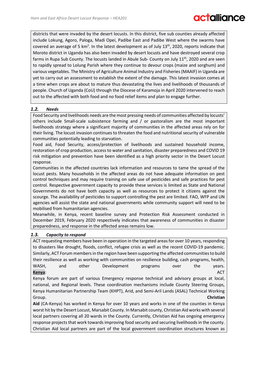### **Falliance**

districts that were invaded by the desert locusts. In this district, five sub counties already affected include Lokung, Agoro, Paloga, Madi Opei, Padibe East and Padibe West where the swarms have covered an average of 5 km<sup>2</sup>. In the latest development as of July 13<sup>th</sup>, 2020, reports indicate that Moroto district in Uganda has also been invaded by desert locusts and have destroyed several crop farms in Rupa Sub County. The locusts landed in Abule Sub- County on July 11<sup>th</sup>, 2020 and are seen to rapidly spread to Lolung Parish where they continue to devour crops (maize and sorghum) and various vegetables. The Ministry of Agriculture Animal Industry and Fisheries (MAAIF) in Uganda are yet to carry out an assessment to establish the extent of the damage. This latest invasion comes at a time when crops are about to mature thus devastating the lives and livelihoods of thousands of people. Church of Uganda (CoU) through the Diocese of Karamoja in April 2020 intervened to reach out to the affected with both food and no food relief items and plan to engage further.

#### *1.2. Needs*

Food Security and livelihoods needs are the most pressing needs of communities affected by locusts' others include Small-scale subsistence farming and / or pastoralism are the most important livelihoods strategy where a significant majority of communities in the affected areas rely on for their living. The locust invasion continues to threaten the food and nutritional security of vulnerable communities potentially leading to starvation.

Food aid, Food Security, access/protection of livelihoods and sustained household income, restoration of crop production, access to water and sanitation, disaster preparedness and COVID 19 risk mitigation and prevention have been identified as a high priority sector in the Desert Locust response.

Communities in the affected countries lack information and resources to tame the spread of the locust pests. Many households in the affected areas do not have adequate information on pest control techniques and may require training on safe use of pesticides and safe practices for pest control. Respective government capacity to provide these services is limited as State and National Governments do not have both capacity as well as resources to protect it citizens against the scourge. The availability of pesticides to support controlling the pest are limited. FAO, WFP and UN agencies will assist the state and national governments while community support will need to be mobilised from humanitarian agencies.

Meanwhile, in Kenya, recent baseline survey and Protection Risk Assessment conducted in December 2019, February 2020 respectively indicates that awareness of communities in disaster preparedness, and response in the affected areas remains low.

#### *1.3. Capacity to respond*

ACT requesting members have been in operation in the targeted areas for over 10 years, responding to disasters like drought, floods, conflict, refugee crisis as well as the recent COVID-19 pandemic. Similarly, ACT Forum members in the region have been supporting the affected communitiesto build their resilience as well as working with communities on resilience building, cash programs, health, WASH, and other Development programs over the years. **Kenya**: ACT

Kenya forum are part of various Emergency response technical and advisory groups at local, national, and Regional levels. These coordination mechanisms include County Steering Groups, Kenya Humanitarian Partnership Team (KHPT), Arid, and Semi-Aril Lands (ASAL) Technical Working Group. **Christian** 

**Aid** (CA-Kenya) has worked in Kenya for over 10 years and works in one of the counties in Kenya worst hit by the Desert Locust, Marsabit County. In Marsabit county, Christian Aid works with several local partners covering all 20 wards in the County. Currently, Christian Aid has ongoing emergency response projects that work towards improving food security and securing livelihoodsin the county. Christian Aid local partners are part of the local government coordination structures known as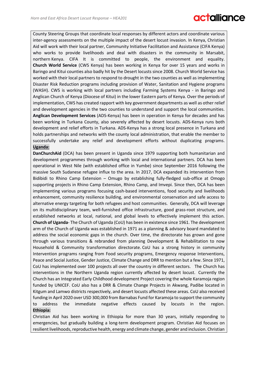County Steering Groups that coordinate local responses by different actors and coordinate various inter-agency assessments on the multiple impact of the desert locust invasion. In Kenya, Christian Aid will work with their local partner, Community Initiative Facilitation and Assistance (CIFA Kenya) who works to provide livelihoods and deal with disasters in the community in Marsabit, northern Kenya. CIFA It is committed to people, the environment and equality. **Church World Service** (CWS Kenya) has been working in Kenya for over 15 years and works in Baringo and Kitui counties also badly hit by the Desert locusts since 2008. Church World Service has worked with their local partners to respond to drought in the two counties as well as implementing Disaster Risk Reduction programs including provision of Water, Sanitation and Hygiene programs (WASH). CWS is working with local partners including Farming Systems Kenya - in Baringo and Anglican Church of Kenya (Diocese of Kitui) in the lower Eastern parts of Kenya. Over the periods of implementation, CWS has created rapport with key government departments as well as other relief and development agencies in the two counties to understand and support the local communities. **Anglican Development Services** (ADS-Kenya) has been in operation in Kenya for decades and has been working in Turkana County, also severely affected by desert locusts. ADS-Kenya runs both development and relief efforts in Turkana. ADS-Kenya has a strong local presence in Turkana and holds partnerships and networks with the county local administration, that enable the member to successfully undertake any relief and development efforts without duplicating programs. **Uganda:**

**DanChurchAid** (DCA) has been present in Uganda since 1979 supporting both humanitarian and development programmes through working with local and international partners. DCA has been operational in West Nile (with established office in Yumbe) since September 2016 following the massive South Sudanese refugee influx to the area. In 2017, DCA expanded its intervention from Bidibidi to Rhino Camp Extension – Omugo by establishing fully-fledged sub-office at Omogo supporting projects in Rhino Camp Extension, Rhino Camp, and Imvepi. Since then, DCA has been implementing various programs focusing cash-based interventions, food security and livelihoods enhancement, community resilience building, and environmental conservation and safe access to alternative energy targeting for both refugees and host communities. Generally, DCA will leverage on its multidisciplinary team, well-furnished office infrastructure, good grass-root structure, and established networks at local, national, and global levels to effectively implement this action. **Church of Uganda**- The Church of Uganda (CoU) has been in existence since 1961. The development arm of the Church of Uganda was established in 1971 as a planning & advisory board mandated to address the social economic gaps in the church. Over time, the directorate has grown and gone through various transitions & rebranded from planning Development & Rehabilitation to now Household & Community transformation directorate. CoU has a strong history in community Intervention programs ranging from Food security programs, Emergency response Interventions, Peace and Social Justice, Gender Justice, Climate Change and DRR to mention but a few. Since 1971, CoU has implemented over 100 projects all over the country in different sectors. The Church has interventions in the Northern Uganda region currently affected by desert locust. Currently the Church has an Integrated Early Childhood development Project covering the whole Karamoja region funded by UNICEF. CoU also has a DRR & Climate Change Projects in Akwang, Padibe located in Kitgum and Lamwo districts respectively, and desert locusts affected these areas. CoU also received funding in April 2020 over USD 300,000 from Barnabas Fund for Karamoja to support the community to address the immediate negative effects caused by locusts in the region. **Ethiopia:**

Christian Aid has been working in Ethiopia for more than 30 years, initially responding to emergencies, but gradually building a long-term development program. Christian Aid focuses on resilient livelihoods, reproductive health, energy and climate change, gender and inclusion. Christian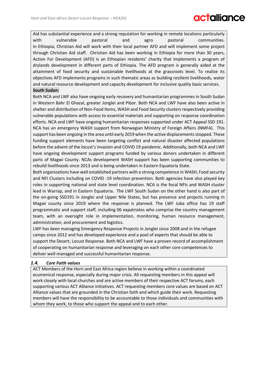Aid has substantial experience and a strong reputation for working in remote locations particularly with vulnerable pastoral and agro pastoral communities. In Ethiopia, Christian Aid will work with their local partner AFD and will implement some project through Christian Aid staff. Christian Aid has been working in Ethiopia for more than 30 years, Action For Development (AFD) is an Ethiopian residents' charity that implements a program of drylands development in different parts of Ethiopia. The AFD program is generally aided at the attainment of food security and sustainable livelihoods at the grassroots level. To realize its objectives AFD implements programs in such thematic areas as building resilient livelihoods, water and natural resource development and capacity development for inclusive quality basic services. **South Sudan:**

Both NCA and LWF also have ongoing early recovery and humanitarian programmes in South Sudan in Western Bahr El Ghazal, greater Jonglei and Pibor. Both NCA and LWF have also been active in shelter and distribution of Non-Food Items, WASH and Food Security clusters respectively providing vulnerable populations with access to essential materials and supporting on response coordination efforts. NCA and LWF have ongoing humanitarian responses supported under ACT Appeal SSD 191. NCA has an emergency WASH support from Norwegian Ministry of Foreign Affairs (NMFA). This support has been ongoing in the area until early 2019 when the active displacements stopped. These funding support elements have been targeting conflict and natural disaster affected populations before the advent of the locust's invasion and COVID 19 pandemic. Additionally, both NCA and LWF have ongoing development support programs funded by various donors undertaken in different parts of Magwi County. NCAs development WASH support has been supporting communities to rebuild livelihoods since 2013 and is being undertaken in Eastern Equatoria State.

Both organizations have well established partners with a strong competence in WASH, Food security and NFI Clusters including on COVID -19 infection prevention. Both agencies have also played key roles in supporting national and state level coordination. NCA is the focal NFIs and WASH cluster lead in Warrap, and in Eastern Equatoria. The LWF South Sudan on the other hand is also part of the on-going SSD191 in Jonglei and Upper Nile States, but has presence and projects running in Magwi county since 2019 where the response is planned. The LWF Juba office has 19 staff programmatic and support staff, including 06 expatriates who comprise the country management team, with an oversight role in implementation, monitoring, human resource management, administration, and procurement and logistics.

LWF has been managing Emergency Response Projects in Jonglei since 2008 and in the refugee camps since 2012 and has developed experience and a pool of experts that should be able to support the Desert, Locust Response. Both NCA and LWF have a proven record of accomplishment of cooperating on humanitarian response and leveraging on each other core competences to deliver well-managed and successful humanitarian response.

#### *1.4. Core Faith values*

ACT Members of the Horn and East Africa region believe in working within a coordinated ecumenical response, especially during major crisis. All requesting members in this appeal will work closely with local churches and are active members of their respective ACT forums, each supporting various ACT Alliance initiatives. ACT requesting members core values are based on ACT Alliance values that are grounded in the Christian faith and which guide their work. Requesting members will have the responsibility to be accountable to those individuals and communities with whom they work, to those who support the appeal and to each other.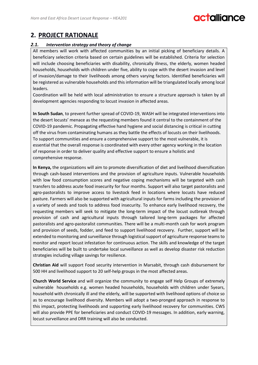## **Miliance**

### **2. PROJECT RATIONALE**

#### *2.1. Intervention strategy and theory of change*

All members will work with affected communities by an initial picking of beneficiary details. A beneficiary selection criteria based on certain guidelines will be established. Criteria for selection will include choosing beneficiaries with disability, chronically illness, the elderly, women headed households, households with children under five, ability to cope with the desert invasion and level of invasion/damage to their livelihoods among others varying factors. Identified beneficiaries will be registered as vulnerable households and this information will be triangulated locally among local leaders.

Coordination will be held with local administration to ensure a structure approach is taken by all development agencies responding to locust invasion in affected areas.

**In South Sudan**, to prevent further spread of COVID-19, WASH will be integrated interventions into the desert locusts' menace as the requesting members found it central to the containment of the COVID-19 pandemic. Propagating effective hand hygiene and social distancing is critical in cutting off the virus from contaminating humans as they battle the effects of locusts on their livelihoods. To support communities and ensure a comprehensive support to the most vulnerable, it is essential that the overall response is coordinated with every other agency working in the location of response in order to deliver quality and effective support to ensure a holistic and comprehensive response.

**In Kenya,** the organizations will aim to promote diversification of diet and livelihood diversification through cash-based interventions and the provision of agriculture inputs. Vulnerable households with low food consumption scores and negative coping mechanisms will be targeted with cash transfers to address acute food insecurity for four months. Support will also target pastoralists and agro-pastoralists to improve access to livestock feed in locations where locusts have reduced pasture. Farmers will also be supported with agricultural inputs for farms including the provision of a variety of seeds and tools to address food insecurity. To enhance early livelihood recovery, the requesting members will seek to mitigate the long-term impact of the locust outbreak through provision of cash and agricultural inputs through tailored long-term packages for affected pastoralists and agro-pastoralist communities. There will be a multi-month cash for work program and provision of seeds, fodder, and feed to support livelihood recovery. Further, support will be extended to monitoring and surveillance through logistical support of agriculture response teams to monitor and report locust infestation for continuous action. The skills and knowledge of the target beneficiaries will be built to undertake local surveillance as well as develop disaster risk reduction strategies including village savings for resilience.

**Christian Aid** will support Food security intervention in Marsabit, through cash disbursement for 500 HH and livelihood support to 20 self-help groups in the most affected areas.

**Church World Service** and will organize the community to engage self Help Groups of extremely vulnerable households e.g. women headed households, households with children under 5years, household with chronically ill and the elderly, will be supported with livelihood options of choice so as to encourage livelihood diversity. Members will adopt a two-pronged approach in response to this impact, protecting livelihoods and supporting early livelihood recovery for communities. CWS will also provide PPE for beneficiaries and conduct COVID-19 messages. In addition, early warning, locust surveillance and DRR training will also be conducted.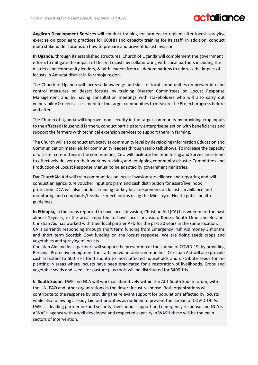### **MILIQUE**

**Anglican Development Services** will conduct training for farmers to replant after locust spraying exercise on good agro practices for 600HH and capacity training for its staff. In addition, conduct multi stakeholder forums on how to prepare and prevent locust invasion.

**In Uganda**, through its established structures, Church of Uganda will complement the government efforts to mitigate the impact of Desert Locusts by collaborating with Local partners including the districts and community leaders, & faith leaders from all denominations to address the impact of locusts in Amudat district in Karamoja region.

The Church of Uganda will increase knowledge and skills of local communities on prevention and control measures on desert locusts by training Disaster Committees on Locust Response Management and by having consultation meetings with stakeholders who will also carry out vulnerability & needs assessment for the target communities to measure the Project progress before and after.

The Church of Uganda will improve food security in the target community by providing crop inputs to the affected Household farmers, conduct participatory enterprise selection with beneficiaries and support the farmers with technical extension services to support them in farming.

The Church will also conduct advocacy at community level by developing Information Education and Communication materials for community leaders through radio talk shows. To increase the capacity of disaster committees in the communities, CoU will facilitate the monitoring and Surveillance team to effectively deliver on their work by reviving and equipping community disaster Committees and Production of Locust Response Manual to be adapted by government ministries.

DanChurchAid Aid will train communities on locust invasion surveillance and reporting and will conduct an agriculture voucher input program and cash distribution for asset/livelihood protection. DCA will also conduct training for key local responders on locust surveillance and monitoring and complaints/feedback mechanisms using the Ministry of Health public health guidelines.

**In Ethiopia,** in the areas reported to have locust invasion, Christian Aid (CA) has worked for the past almost 15years, in the areas reported to have locust invasion, Konso, South Omo and Borane. Christian Aid has worked with their local partner AFD for the past 20 years in the same location. CA is currently responding through short term funding from Emergency Irish Aid money 3 months and short term Scottish Govt funding on the locust response. We are doing seeds crops and vegetables and spraying of locusts.

Christian Aid and local partners will support the prevention of the spread of COVID-19, by providing Personal Protective equipment for staff and vulnerable communities. Christian Aid will also provide cash transfers to 500 HHs for 1 month to most affected households and distribute seeds for replanting in areas where locusts have been eradicated for a restoration of livelihoods. Crops and vegetable seeds and seeds for pasture plus tools will be distributed for 5400HHs.

In **South Sudan**, LWF and NCA will work collaboratively within the ACT South Sudan forum, with the UN, FAO and other organizations in the desert locust response. Both organizations will contribute to the response by providing the relevant support for populations affected by locusts while also following already laid out priorities as outlined to prevent the spread of COVID 19. As LWF is a leading partner in Food security, Livelihoods support and emergency response and NCA is a WASH agency with a well developed and respected capacity in WASH these will be the main sectors of intervention.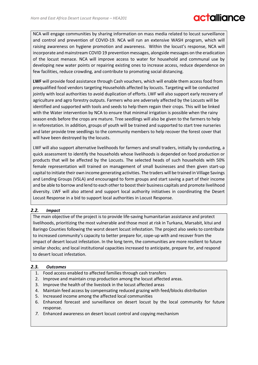NCA will engage communities by sharing information on mass media related to locust surveillance and control and prevention of COVID-19. NCA will run an extensive WASH program, which will raising awareness on hygiene promotion and awareness. Within the locust's response, NCA will incorporate and mainstream COVID 19 prevention messages, alongside messages on the eradication of the locust menace. NCA will improve access to water for household and communal use by developing new water points or repairing existing ones to increase access, reduce dependence on few facilities, reduce crowding, and contribute to promoting social distancing.

**LWF** will provide food assistance through Cash vouchers, which will enable them access food from prequalified food vendors targeting Households affected by locusts. Targeting will be conducted jointly with local authorities to avoid duplication of efforts. LWF will also support early recovery of agriculture and agro forestry outputs. Farmers who are adversely affected by the Locusts will be identified and supported with tools and seeds to help them regain their crops. This will be linked with the Water intervention by NCA to ensure that minimal irrigation is possible when the rainy season ends before the crops are mature. Tree seedlings will also be given to the farmers to help in reforestation. In addition, groups of youth will be trained and supported to start tree nurseries and later provide tree seedlings to the community members to help recover the forest cover that will have been destroyed by the locusts.

LWF will also support alternative livelihoods for farmers and small traders, initially by conducting, a quick assessment to identify the households whose livelihoods is depended on food production or products that will be affected by the Locusts. The selected heads of such households with 50% female representation will trained on management of small businesses and then given start-up capital to initiate their own income generating activities. The traders will be trained in Village Savings and Lending Groups (VSLA) and encouraged to form groups and start saving a part of their income and be able to borrow and lend to each other to boost their business capitals and promote livelihood diversity. LWF will also attend and support local authority initiatives in coordinating the Desert Locust Response in a bid to support local authorities in Locust Response.

#### *2.2. Impact*

The main objective of the project is to provide life-saving humanitarian assistance and protect livelihoods, prioritizing the most vulnerable and those most at risk in Turkana, Marsabit, kitui and Baringo Counties following the worst desert locust infestation. The project also seeks to contribute to increased community's capacity to better prepare for, cope-up with and recover from the impact of desert locust infestation. In the long term, the communities are more resilient to future similar shocks; and local institutional capacities increased to anticipate, prepare for, and respond to desert locust infestation.

#### *2.3. Outcomes*

- 1. Food access enabled to affected families through cash transfers
- 2. Improve and maintain crop production among the locust affected areas.
- 3. Improve the health of the livestock in the locust affected areas
- 4. Maintain feed access by compensating reduced grazing with feed/blocks distribution
- 5. Increased income among the affected local communities
- 6. Enhanced forecast and surveillance on desert locust by the local community for future response.
- *7.* Enhanced awareness on desert locust control and copying mechanism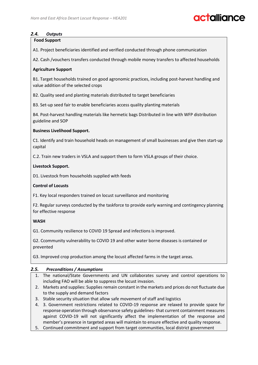# **Miliano**

#### *2.4. Outputs*

#### **Food Support**

A1. Project beneficiaries identified and verified conducted through phone communication

A2. Cash /vouchers transfers conducted through mobile money transfers to affected households

#### **Agriculture Support**

B1. Target households trained on good agronomic practices, including post-harvest handling and value addition of the selected crops

B2. Quality seed and planting materials distributed to target beneficiaries

B3. Set-up seed fair to enable beneficiaries access quality planting materials

B4. Post-harvest handling materials like hermetic bags Distributed in line with WFP distribution guideline and SOP

#### **Business Livelihood Support.**

C1. Identify and train household heads on management of small businesses and give then start-up capital

C.2. Train new traders in VSLA and support them to form VSLA groups of their choice.

#### **Livestock Support.**

D1. Livestock from households supplied with feeds

#### **Control of Locusts**

F1. Key local responders trained on locust surveillance and monitoring

F2. Regular surveys conducted by the taskforce to provide early warning and contingency planning for effective response

#### **WASH**

G1. Community resilience to COVID 19 Spread and infections is improved.

G2. Ccommunity vulnerability to COVID 19 and other water borne diseases is contained or prevented

G3. Improved crop production among the locust affected farms in the target areas.

#### *2.5. Preconditions / Assumptions*

- 1. The national/State Governments and UN collaborates survey and control operations to including FAO will be able to suppress the locust invasion.
- 2. Markets and supplies: Supplies remain constant in the markets and prices do not fluctuate due to the supply and demand factors
- 3. Stable security situation that allow safe movement of staff and logistics
- 4. 3. Government restrictions related to COVID-19 response are relaxed to provide space for response operation through observance safety guidelines- that current containment measures against COVID-19 will not significantly affect the implementation of the response and member's presence in targeted areas will maintain to ensure effective and quality response.
- 5. Continued commitment and support from target communities, local district government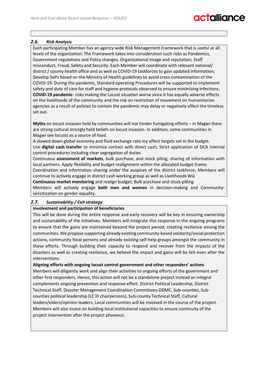#### *2.6. Risk Analysis*

Each participating Member has an agency wide Risk Management Framework that is useful at all levels of the organization. The Framework takes into consideration such risks as Pandemics, Government regulations and Policy changes, Organizational image and reputation, Staff misconduct, Fraud, Safety and Security. Each Member will coordinate with relevant national/ district / county health office and as well as COVID-19 taskforces to gain updated information; Develop SoPs based on the Ministry of Health guidelines to avoid cross-contamination of the COVID-19. During the pandemic, Standard operating Procedures will be supported to implement safety and duty of care for staff and hygiene protocols observed to ensure minimizing infections. **COVID-19 pandemic**- risks making the Locust situation worse since it has equally adverse effects on the livelihoods of the community and the risk on restriction of movement on humanitarian agencies as a result of policies to contain the pandemic may delay or negatively affect the timeless set out.

**Myths** on locust invasion held by communities will not hinder fumigating efforts – in Magwi there are strong cultural strongly held beliefs on locust invasion. In addition, some communities in Magwi see locusts as a source of food.

A slowed down global economy and fluid exchange rate my affect targets set in the budget. Use **digital cash transfer** to minimize contact with direct cash; Strict application of DCA internal control procedures including clear segregation of duties

Continuous **assessment of markets**, bulk purchase, and stock piling, sharing of information with local partners. Apply flexibility and budget realignment within the allocated budget frame.

Coordination and information sharing under the auspices of the district taskforce; Members will continue to actively engage in district cash working group as well as Livelihoods WG

**Continuous market monitoring** and realign budget; Bulk purchase and stock-pilling

Members will actively engage **both men and women** in decision-making and Communitysensitization on gender equality.

#### *2.7. Sustainability / Exit strategy*

#### **Involvement and participation of beneficiaries**

This will be done during the entire response and early recovery will be key in ensuring ownership and sustainability of the initiatives. Members will integrate this response in the ongoing programs to ensure that the gains are maintained beyond the project period, creating resilience among the communities. We propose supporting already existing community-based solidarity/social protection actions, community focal persons and already existing self-help groups amongst the community in these efforts. Through building their capacity to respond and recover from the impacts of the disasters as well as creating resilience, we believe the impact and gains will be felt even after the interventions.

**Aligning efforts with ongoing locust control government and other responders' actions** Members will diligently work and align their activities to ongoing efforts of the government and other first responders. Hence, this action will not be a standalone project instead an integral complements ongoing prevention and response effort. District Political Leadership, District Technical Staff, Disaster Management Coordination Committees-DDMC, Sub-counties, Subcounties political leadership (LC III chairpersons), Sub-county Technical Staff, Cultural leaders/elders/opinion leaders, Local communities will be involved in the course of the project. Members will also invest on building local institutional capacities to ensure continuity of the project intervention after the project phaseout.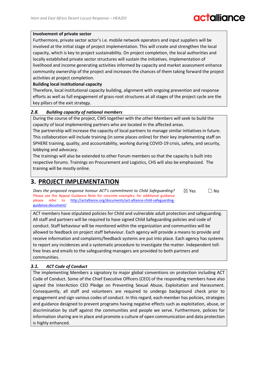# **Falliance**

#### **Involvement of private sector**

Furthermore, private sector actor's i.e. mobile network operators and input suppliers will be involved at the initial stage of project implementation. This will create and strengthen the local capacity, which is key to project sustainability. On project completion, the local authorities and locally established private sector structures will sustain the initiatives. Implementation of livelihood and income generating activities informed by capacity and market assessment enhance community ownership of the project and increases the chances of them taking forward the project activities at project completion.

#### **Building local institutional capacity**

Therefore, local institutional capacity building, alignment with ongoing prevention and response efforts as well as full engagement of grass-root structures at all stages of the project cycle are the key pillars of the exit strategy.

#### *2.8. Building capacity of national members*

During the course of the project, CWS together with the other Members will seek to build the capacity of local implementing partners who are located in the affected areas.

The partnership will increase the capacity of local partners to manage similar initiatives in future. This collaboration will include training (in some places online) for their key implementing staff on SPHERE training, quality, and accountability, working during COVID-19 crisis, safety, and security, lobbying and advocacy.

The trainings will also be extended to other Forum members so that the capacity is built into respective forums. Trainings on Procurement and Logistics, CHS will also be emphasized. The training will be mostly online.

### **3. PROJECT IMPLEMENTATION**

*Does the proposed response honour ACT's commitment to Child Safeguarding?*  Please see the Appeal Guidance Note for concrete examples; for additional guidance please refer to [http://actalliance.org/documents/act-alliance-child-safeguarding](http://actalliance.org/documents/act-alliance-child-safeguarding-guidance-document/)[guidance-document/](http://actalliance.org/documents/act-alliance-child-safeguarding-guidance-document/)   $\boxtimes$  Yes  $\Box$  No

ACT members have stipulated policies for Child and vulnerable adult protection and safeguarding. All staff and partners will be required to have signed Child Safeguarding policies and code of conduct. Staff behaviour will be monitored within the organization and communities will be allowed to feedback on project staff behaviour. Each agency will provide a means to provide and receive information and complaints/feedback systems are put into place. Each agency has systems to report any incidences and a systematic procedure to investigate the matter. Independent tollfree lines and emails to the safeguarding managers are provided to both partners and communities.

#### *3.1. ACT Code of Conduct*

The implementing Members a signatory to major global conventions on protection including ACT Code of Conduct. Some of the Chief Executive Officers (CEO) of the responding members have also signed the InterAction CEO Pledge on Preventing Sexual Abuse, Exploitation and Harassment. Consequently, all staff and volunteers are required to undergo background check prior to engagement and sign various codes of conduct. In this regard, each member has policies, strategies and guidance designed to prevent programs having negative effects such as exploitation, abuse, or discrimination by staff against the communities and people we serve. Furthermore, policies for information sharing are in place and promote a culture of open communication and data protection is highly enhanced.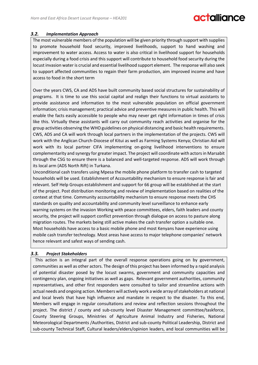#### *3.2. Implementation Approach*

The most vulnerable members of the population will be given priority through support with supplies to promote household food security, improved livelihoods, support to hand washing and improvement to water access. Access to water is also critical in livelihood support for households especially during a food crisis and this support will contribute to household food security during the locust invasion water is crucial and essential livelihood support element. The response will also seek to support affected communities to regain their farm production, aim improved income and have access to food in the short term

Over the years CWS, CA and ADS have built community based social structures for sustainability of programs. It is time to use this social capital and realign their functions to virtual assistants to provide assistance and information to the most vulnerable population on official government information; crisis management; practical advice and preventive measures in public health. This will enable the facts easily accessible to people who may never get right information in times of crisis like this. Virtually these assistants will carry out community reach activities and organise for the group activities observing the WHO guidelines on physical distancing and basic health requirements. CWS, ADS and CA will work through local partners in the implementation of the projects. CWS will work with the Anglican Church-Diocese of Kitui as well as Farming Systems Kenya; Christian Aid will work with its local partner CIFA implementing on-going livelihood interventions to ensure complementarity and synergy for greater impact. The project will coordinate with actors in Marsabit through the CSG to ensure there is a balanced and well-targeted response. ADS will work through its local arm (ADS North Rift) in Turkana.

Unconditional cash transfers using Mpesa the mobile phone platform to transfer cash to targeted households will be used. Establishment of Accountability mechanism to ensure response is fair and relevant. Self Help Groups establishment and support for 66 group will be established at the start of the project. Post distribution monitoring and review of implementation based on realities of the context at that time. Community accountability mechanism to ensure response meets the CHS standards on quality and accountability and community level surveillance to enhance early warning systems on the invasion Working with peace committees, elders, faith leaders and county security, the project will support conflict prevention through dialogue on access to pasture along migration routes. The markets being still active makes the cash transfer option a suitable one. Most households have access to a basic mobile phone and most Kenyans have experience using mobile cash transfer technology. Most areas have access to major telephone companies' network hence relevant and safest ways of sending cash.

#### *3.3. Project Stakeholders*

This action is an integral part of the overall response operations going on by government, communities as well as other actors. The design of this project has been informed by a rapid analysis of potential disaster posed by the locust swarms, government and community capacities and contingency plan, ongoing initiatives as well as gaps. Relevant government authorities, community representatives, and other first responders were consulted to tailor and streamline actions with actual needs and ongoing action. Members will actively work a wide array of stakeholders at national and local levels that have high influence and mandate in respect to the disaster. To this end, Members will engage in regular consultations and review and reflection sessions throughout the project. The district / county and sub-county level Disaster Management committee/taskforce, County Steering Groups, Ministries of Agriculture Animal Industry and Fisheries, National Meteorological Departments /Authorities, District and sub-county Political Leadership, District and sub-county Technical Staff, Cultural leaders/elders/opinion leaders, and local communities will be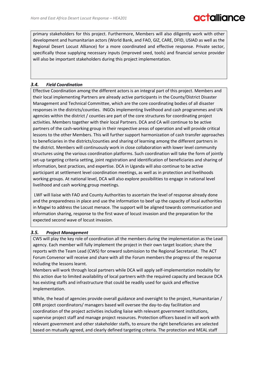primary stakeholders for this project. Furthermore, Members will also diligently work with other development and humanitarian actors (World Bank, and FAO, GIZ, CARE, DFID, USIAD as well as the Regional Desert Locust Alliance) for a more coordinated and effective response. Private sector, specifically those supplying necessary inputs (improved seed, tools) and financial service provider will also be important stakeholders during this project implementation.

#### *3.4. Field Coordination*

Effective Coordination among the different actors is an integral part of this project. Members and their local implementing Partners are already active participants in the County/District Disaster Management and Technical Committee, which are the core coordinating bodies of all disaster responses in the districts/counties. INGOs implementing livelihood and cash programmes and UN agencies within the district / counties are part of the core structures for coordinating project activities. Members together with their local Partners. DCA and CA will continue to be active partners of the cash-working group in their respective areas of operation and will provide critical lessons to the other Members. This will further support harmonization of cash transfer approaches to beneficiaries in the districts/counties and sharing of learning among the different partners in the district. Members will continuously work in close collaboration with lower level community structures using the various coordination platforms. Such coordination will take the form of jointly set-up targeting criteria setting, joint registration and identification of beneficiaries and sharing of information, best practices, and expertise. DCA in Uganda will also continue to be active participant at settlement level coordination meetings, as well as in protection and livelihoods working groups. At national level, DCA will also explore possibilities to engage in national level livelihood and cash working group meetings.

LWF will liaise with FAO and County Authorities to ascertain the level of response already done and the preparedness in place and use the information to beef up the capacity of local authorities in Magwi to address the Locust menace. The support will be aligned towards communication and information sharing, response to the first wave of locust invasion and the preparation for the expected second wave of locust invasion.

#### *3.5. Project Management*

CWS will play the key role of coordination all the members during the implementation as the Lead agency. Each member will fully implement the project in their own target location; share the reports with the Team Lead (CWS) for onward submission to the Regional Secretariat. The ACT Forum Convenor will receive and share with all the Forum members the progress of the response including the lessons learnt.

Members will work through local partners while DCA will apply self-implementation modality for this action due to limited availability of local partners with the required capacity and because DCA has existing staffs and infrastructure that could be readily used for quick and effective implementation.

While, the head of agencies provide overall guidance and oversight to the project, Humanitarian / DRR project coordinators/ managers based will oversee the day-to-day facilitation and coordination of the project activities including liaise with relevant government institutions, supervise project staff and manage project resources. Protection officers based in will work with relevant government and other stakeholder staffs, to ensure the right beneficiaries are selected based on mutually agreed, and clearly defined targeting criteria. The protection and MEAL staff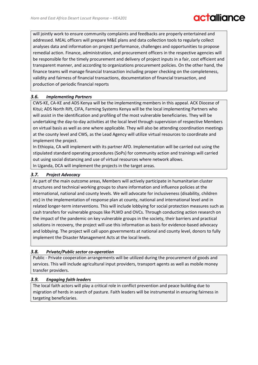will jointly work to ensure community complaints and feedbacks are properly entertained and addressed. MEAL officers will prepare M&E plans and data collection tools to regularly collect analyses data and information on project performance, challenges and opportunities to propose remedial action. Finance, administration, and procurement officers in the respective agencies will be responsible for the timely procurement and delivery of project inputs in a fair, cost efficient and transparent manner, and according to organizations procurement policies. On the other hand, the finance teams will manage financial transaction including proper checking on the completeness, validity and fairness of financial transactions, documentation of financial transaction, and production of periodic financial reports

#### *3.6. Implementing Partners*

CWS-KE, CA-KE and ADS Kenya will be the implementing members in this appeal. ACK Diocese of Kitui; ADS North Rift, CIFA, Farming Systems Kenya will be the local implementing Partners who will assist in the identification and profiling of the most vulnerable beneficiaries. They will be undertaking the day-to-day activities at the local level through supervision of respective Members on virtual basis as well as one where applicable. They will also be attending coordination meetings at the county level and CWS, as the Lead Agency will utilize virtual resources to coordinate and implement the project.

In Ethiopia, CA will implement with its partner AFD. Implementation will be carried out using the stipulated standard operating procedures (SoPs) for community action and trainings will carried out using social distancing and use of virtual resources where network allows. In Uganda, DCA will implement the projects in the target areas.

#### *3.7. Project Advocacy*

As part of the main outcome areas, Members will actively participate in humanitarian cluster structures and technical working groups to share information and influence policies at the international, national and county levels. We will advocate for inclusiveness (disability, children etc) in the implementation of response plan at county, national and international level and in related longer-term interventions. This will include lobbying for social protection measures such as cash transfers for vulnerable groups like PLWD and OVCs. Through conducting action research on the impact of the pandemic on key vulnerable groups in the society, their barriers and practical solutions in recovery, the project will use this information as basis for evidence-based advocacy and lobbying. The project will call upon governments at national and county level, donors to fully implement the Disaster Management Acts at the local levels.

#### *3.8. Private/Public sector co-operation*

Public - Private cooperation arrangements will be utilized during the procurement of goods and services. This will include agricultural input providers, transport agents as well as mobile money transfer providers.

#### *3.9. Engaging faith leaders*

The local faith actors will play a critical role in conflict prevention and peace building due to migration of herds in search of pasture. Faith leaders will be instrumental in ensuring fairness in targeting beneficiaries.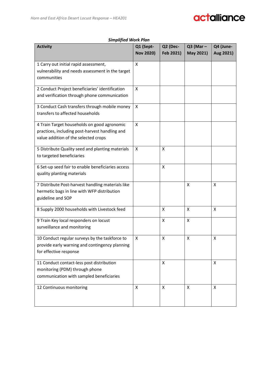#### *Simplified Work Plan*

| <b>Activity</b>                                   | Q1 (Sept-<br><b>Nov 2020)</b> | Q2 (Dec-<br>Feb 2021) | $Q3$ (Mar –<br>May 2021) | Q4 (June-<br>Aug 2021) |
|---------------------------------------------------|-------------------------------|-----------------------|--------------------------|------------------------|
|                                                   |                               |                       |                          |                        |
| 1 Carry out initial rapid assessment,             | X                             |                       |                          |                        |
| vulnerability and needs assessment in the target  |                               |                       |                          |                        |
| communities                                       |                               |                       |                          |                        |
| 2 Conduct Project beneficiaries' identification   | X                             |                       |                          |                        |
| and verification through phone communication      |                               |                       |                          |                        |
| 3 Conduct Cash transfers through mobile money     | X                             |                       |                          |                        |
| transfers to affected households                  |                               |                       |                          |                        |
| 4 Train Target households on good agronomic       | X                             |                       |                          |                        |
| practices, including post-harvest handling and    |                               |                       |                          |                        |
| value addition of the selected crops              |                               |                       |                          |                        |
| 5 Distribute Quality seed and planting materials  | X                             | X                     |                          |                        |
| to targeted beneficiaries                         |                               |                       |                          |                        |
| 6 Set-up seed fair to enable beneficiaries access |                               | X                     |                          |                        |
| quality planting materials                        |                               |                       |                          |                        |
| 7 Distribute Post-harvest handling materials like |                               |                       | X                        | X                      |
| hermetic bags in line with WFP distribution       |                               |                       |                          |                        |
| guideline and SOP                                 |                               |                       |                          |                        |
| 8 Supply 2000 households with Livestock feed      |                               | X                     | X                        | X                      |
| 9 Train Key local responders on locust            |                               | X                     | X                        |                        |
| surveillance and monitoring                       |                               |                       |                          |                        |
| 10 Conduct regular surveys by the taskforce to    | х                             | х                     | х                        | χ                      |
| provide early warning and contingency planning    |                               |                       |                          |                        |
| for effective response                            |                               |                       |                          |                        |
| 11 Conduct contact-less post distribution         |                               | X                     |                          | $\mathsf{X}$           |
| monitoring (PDM) through phone                    |                               |                       |                          |                        |
| communication with sampled beneficiaries          |                               |                       |                          |                        |
| 12 Continuous monitoring                          | X                             | X                     | X                        | X                      |
|                                                   |                               |                       |                          |                        |
|                                                   |                               |                       |                          |                        |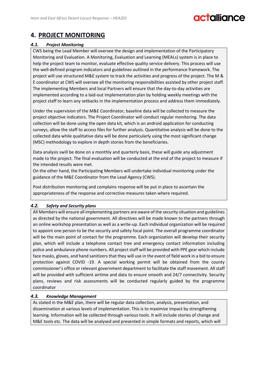# **Miliance**

### **4. PROJECT MONITORING**

#### *4.1. Project Monitoring*

CWS being the Lead Member will oversee the design and implementation of the Participatory Monitoring and Evaluation. A Monitoring, Evaluation and Learning (MEALs) system is in place to help the project team to monitor, evaluate effective quality service delivery. This process will use the well-defined program indicators and guidelines outlined in the performance framework. The project will use structured M&E system to track the activities and progress of the project. The M & E coordinator at CWS will oversee all the monitoring responsibilities assisted by other project staff. The implementing Members and local Partners will ensure that the day-to-day activities are implemented according to a laid-out implementation plan by holding weekly meetings with the project staff to learn any setbacks in the implementation process and address them immediately.

Under the supervision of the M&E Coordinator, baseline data will be collected to measure the project objective indicators. The Project Coordinator will conduct regular monitoring. The data collection will be done using the open data kit, which is an android application for conducting surveys, allow the staff to access files for further analysis. Quantitative analysis will be done to the collected data while qualitative data will be done particularly using the most significant change (MSC) methodology to explore in depth stories from the beneficiaries.

Data analysis swill be done on a monthly and quarterly basis, these will guide any adjustment made to the project. The final evaluation will be conducted at the end of the project to measure if the intended results were met.

On the other hand, the Participating Members will undertake individual monitoring under the guidance of the M&E Coordinator from the Lead Agency (CWS).

Post distribution monitoring and complains response will be put in place to ascertain the appropriateness of the response and corrective measures taken where required.

#### *4.2. Safety and Security plans*

All Members will ensure all implementing partners are aware of the security situation and guidelines as directed by the national government. All directives will be made known to the partners through an online workshop presentation as well as a write-up. Each individual organization will be required to appoint one person to be the security and safety focal point. The overall programme coordinator will be the main point of contact for the programme. Each organization will develop their security plan, which will include a telephone contact tree and emergency contact information including police and ambulance phone numbers. All project staff will be provided with PPE gear which include face masks, gloves, and hand sanitizers that they will use in the event of field work in a bid to ensure protection against COVID -19. A special working permit will be obtained from the county commissioner's office or relevant government department to facilitate the staff movement. All staff will be provided with sufficient airtime and data to ensure smooth and 24/7 connectivity. Security plans, reviews and risk assessments will be conducted regularly guided by the programme coordinator

#### *4.3. Knowledge Management*

As stated in the M&E plan, there will be regular data collection, analysis, presentation, and dissemination at various levels of implementation. This is to maximize impact by strengthening learning. Information will be collected through various tools. It will include stories of change and M&E tools etc. The data will be analysed and presented in simple formats and reports, which will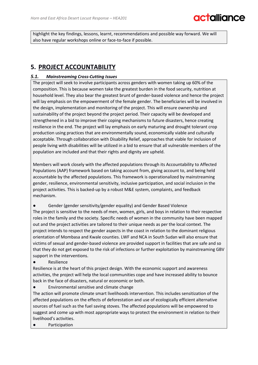highlight the key findings, lessons, learnt, recommendations and possible way forward. We will also have regular workshops online or face-to-face if possible.

### **5. PROJECT ACCOUNTABILITY**

#### *5.1. Mainstreaming Cross-Cutting Issues*

The project will seek to involve participants across genders with women taking up 60% of the composition. This is because women take the greatest burden in the food security, nutrition at household level. They also bear the greatest brunt of gender-based violence and hence the project will lay emphasis on the empowerment of the female gender. The beneficiaries will be involved in the design, implementation and monitoring of the project. This will ensure ownership and sustainability of the project beyond the project period. Their capacity will be developed and strengthened in a bid to improve their coping mechanisms to future disasters, hence creating resilience in the end. The project will lay emphasis on early maturing and drought tolerant crop production using practices that are environmentally sound, economically viable and culturally acceptable. Through collaboration with Disability Relief, approaches that viable for inclusion of people living with disabilities will be utilized in a bid to ensure that all vulnerable members of the population are included and that their rights and dignity are upheld.

Members will work closely with the affected populations through its Accountability to Affected Populations (AAP) framework based on taking account from, giving account to, and being held accountable by the affected populations. This framework is operationalized by mainstreaming gender, resilience, environmental sensitivity, inclusive participation, and social inclusion in the project activities. This is backed-up by a robust M&E system, complaints, and feedback mechanism.

Gender (gender sensitivity/gender equality) and Gender Based Violence The project is sensitive to the needs of men, women, girls, and boys in relation to their respective roles in the family and the society. Specific needs of women in the community have been mapped out and the project activities are tailored to their unique needs as per the local context. The project intends to respect the gender aspects in the coast in relation to the dominant religious orientation of Mombasa and Kwale counties. LWF and NCA in South Sudan will also ensure that victims of sexual and gender-based violence are provided support in facilities that are safe and so that they do not get exposed to the risk of infections or further exploitation by mainstreaming GBV

support in the interventions. **Resilience** 

Resilience is at the heart of this project design. With the economic support and awareness activities, the project will help the local communities cope and have increased ability to bounce back in the face of disasters, natural or economic or both.

Environmental sensitive and climate change

The action will promote climate smart livelihoods intervention. This includes sensitization of the affected populations on the effects of deforestation and use of ecologically efficient alternative sources of fuel such as the fuel saving stoves. The affected populations will be empowered to suggest and come up with most appropriate ways to protect the environment in relation to their livelihood's activities.

Participation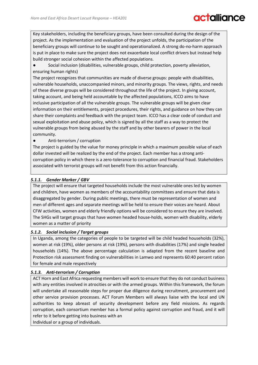# **talliance**

Key stakeholders, including the beneficiary groups, have been consulted during the design of the project. As the implementation and evaluation of the project unfolds, the participation of the beneficiary groups will continue to be sought and operationalized. A strong do-no-harm approach is put in place to make sure the project does not exacerbate local conflict drivers but instead help build stronger social cohesion within the affected populations.

Social inclusion (disabilities, vulnerable groups, child protection, poverty alleviation, ensuring human rights)

The project recognizes that communities are made of diverse groups: people with disabilities, vulnerable households, unaccompanied minors, and minority groups. The views, rights, and needs of these diverse groups will be considered throughout the life of the project. In giving account, taking account, and being held accountable by the affected populations, ICCO aims to have inclusive participation of all the vulnerable groups. The vulnerable groups will be given clear information on their entitlements, project procedures, their rights, and guidance on how they can share their complaints and feedback with the project team. ICCO has a clear code of conduct and sexual exploitation and abuse policy, which is signed by all the staff as a way to protect the vulnerable groups from being abused by the staff and by other bearers of power in the local community.

#### Anti-terrorism / corruption

The project is guided by the value for money principle in which a maximum possible value of each dollar invested will be realized by the end of the project. Each member has a strong anticorruption policy in which there is a zero-tolerance to corruption and financial fraud. Stakeholders associated with terrorist groups will not benefit from this action financially.

#### *5.1.1. Gender Marker / GBV*

The project will ensure that targeted households include the most vulnerable ones led by women and children, have women as members of the accountability committees and ensure that data is disaggregated by gender. During public meetings, there must be representation of women and men of different ages and separate meetings will be held to ensure their voices are heard. About CFW activities, women and elderly friendly options will be considered to ensure they are involved. The SHGs will target groups that have women headed house-holds, women with disability, elderly women as a matter of priority

#### *5.1.2. Social inclusion / Target groups*

In Uganda, among the categories of people to be targeted will be child headed households (32%), women at risk (19%), older persons at risk (19%), persons with disabilities (17%) and single headed households (14%). The above percentage calculation is adapted from the recent baseline and Protection risk assessment finding on vulnerabilities in Lamwo and represents 60:40 percent ration for female and male respectively

#### *5.1.3. Anti-terrorism / Corruption*

ACT Horn and East Africa requesting members will work to ensure that they do not conduct business with any entities involved in atrocities or with the armed groups. Within this framework, the forum will undertake all reasonable steps for proper due diligence during recruitment, procurement and other service provision processes. ACT Forum Members will always liaise with the local and UN authorities to keep abreast of security development before any field missions. As regards corruption, each consortium member has a formal policy against corruption and fraud, and it will refer to it before getting into business with an

Individual or a group of individuals.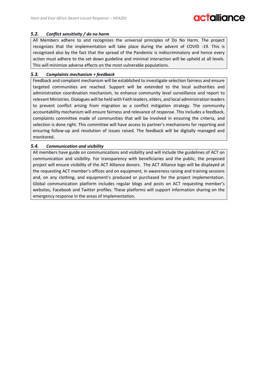#### *5.2. Conflict sensitivity / do no harm*

All Members adhere to and recognizes the universal principles of Do No Harm. The project recognizes that the implementation will take place during the advent of COVID -19. This is recognized also by the fact that the spread of the Pandemic is indiscriminatory and hence every action must adhere to the set down guideline and minimal interaction will be upheld at all levels. This will minimize adverse effects on the most vulnerable populations.

#### *5.3. Complaints mechanism + feedback*

Feedback and complaint mechanism will be established to investigate selection fairness and ensure targeted communities are reached. Support will be extended to the local authorities and administration coordination mechanism, to enhance community level surveillance and report to relevant Ministries. Dialogues will be held with Faith leaders, elders, and local administration leaders to prevent conflict arising from migration as a conflict mitigation strategy. The community accountability mechanism will ensure fairness and relevance of response. This includes a feedback, complaints committee made of communities that will be involved in ensuring the criteria, and selection is done right. This committee will have access to partner's mechanisms for reporting and ensuring follow-up and resolution of issues raised. The feedback will be digitally managed and monitored.

#### *5.4. Communication and visibility*

All members have guide on communications and visibility and will include the guidelines of ACT on communication and visibility. For transparency with beneficiaries and the public, the proposed project will ensure visibility of the ACT Alliance donors. The ACT Alliance logo will be displayed at the requesting ACT member's offices and on equipment, in awareness raising and training sessions and, on any clothing, and equipment's produced or purchased for the project implementation. Global communication platform includes regular blogs and posts on ACT requesting member's websites, Facebook and Twitter profiles. These platforms will support information sharing on the emergency response in the areas of implementation.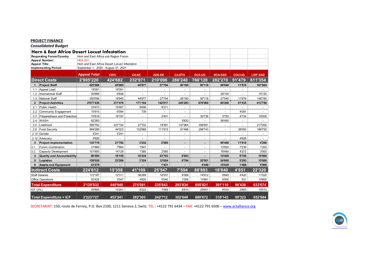#### **PROJECT FINANCE**

*Consolidated Budget*

|          | Horn & East Africa Desert Locust Infestation |                                                |            |              |               |               |               |                |               |                |
|----------|----------------------------------------------|------------------------------------------------|------------|--------------|---------------|---------------|---------------|----------------|---------------|----------------|
|          | <b>Requesting Forum/Country</b>              | Horn and East Africa sub Region Forum          |            |              |               |               |               |                |               |                |
|          | <b>Appeal Number:</b>                        | <b>HEA 201</b>                                 |            |              |               |               |               |                |               |                |
|          | <b>Appeal Title:</b>                         | Horn and East Africa Desert Locust Infestation |            |              |               |               |               |                |               |                |
|          | <b>Implementing Period:</b>                  | September 1, 2020 - August 31, 2021            |            |              |               |               |               |                |               |                |
|          |                                              | <b>Appeal Total</b>                            | <b>CWS</b> | <b>CA-KE</b> | <b>ADS-KE</b> | <b>CA-ETH</b> | <b>DCA-UG</b> | <b>NCA-SSD</b> | <b>COU-UG</b> | <b>LWF-SSD</b> |
|          | <b>Direct Costs</b>                          | 2'905'220                                      | 424'682    | 232'971      | 210'096       | 286'240       | 766'128       | 282'270        | 91'479        | 611'354        |
|          | <b>Project Staff</b>                         | 425'266                                        | 45'985     | 44'877       | 27'704        | 26'160        | 50'118        | 56'640         | 11'878        | 161'904        |
|          | 1.1 Appeal Lead                              | 19'391                                         | 19'391     |              |               |               |               |                |               |                |
|          | 1.2 International Staff                      | 50'868                                         | 6'648      |              |               |               |               | 29'100         |               | 15'120         |
|          | 1.3 National Staff                           | 355'006                                        | 19'945     | 44'877       | 27'704        | 26'160        | 50'118        | 27'540         | 11'878        | 146'784        |
|          | 2 Project Activities                         | 2'077'436                                      | 317'476    | 171'104      | 142'017       | 245'293       | 676'060       | 60'200         | 51'535        | 413'750        |
|          | Public Health                                | 33'473                                         | 15'467     | 9'696        | 8'311         |               |               |                |               |                |
|          | 2.2 Community Engagement                     | 10'915                                         | 6'094      | 739          |               |               |               |                | 4'081         |                |
|          | 2.3 Preparedness and Prevention              | 70'818                                         | 19'197     |              | 2'401         |               | 30'736        | 3'750          | 4'734         | 10'000         |
|          | 2.4 WASH                                     | 62'283                                         |            |              |               | 5'833         |               | 56'450         |               |                |
| 2.5      | Livelihood                                   | 995'792                                        | 227'154    | 27'702       | 19'391        | 147'964       | 356'581       |                |               | 217'000        |
| 2.8      | Food Security                                | 894'289                                        | 44'323     | 132'968      | 111'915       | 91'496        | 288'743       |                | 38'093        | 186'750        |
|          | 2.10 Gender                                  | 5'241                                          | 5'241      |              |               |               |               |                |               |                |
|          | 2.12 Advocacy                                | 4'626                                          |            |              |               |               |               |                | 4'626         |                |
| 3        | <b>Project Implementation</b>                | 133'719                                        | 21'792     | 3'232        | 2'585         |               |               | 90'400         | 11'510        | 4'200          |
| 3.1.     | Forum Coordination                           | 31'869                                         | 7'664      | 1'847        |               |               |               | 13'920         | 7'238         | 1'200          |
|          | Capacity Development                         | 101'850                                        | 14'128     | 1'385        | 2'585         |               |               | 76'480         | 4'272         | 3'000          |
| 4        | Quality and Accountability                   | 86'495                                         | 16'159     | 10'434       | 23'703        | 6'003         |               | 10'400         | 9'795         | 10'000         |
|          | 5 Logistics                                  | 159'026                                        | 23'269     | 3'324        | 12'654        | 8'784         | 35'501        | 54'600         | 5'293         | 15'600         |
| 6        | <b>Assets and Equipment</b>                  | 23'278                                         |            |              | 1'431         |               | 4'449         | 10'030         | 1'468         | 5'900          |
|          | <b>Indirect Costs</b>                        | 224'612                                        | 15'358     | 41'109       | 25'547        | 7'594         | 88'893        | 18'840         | 4'951         | 22'320         |
|          | <b>Staff Salaries</b>                        | 172'187                                        | 12'311     | 36'289       | 16'307        | 6'588         | 74'912        | 9'840          | 4'420         | 11'520         |
|          | <b>Office Operations</b>                     | 52'425                                         | 3'047      | 4'820        | 9'240         | 1'006         | 13'981        | 9'000          | 531           | 10'800         |
|          | <b>Total Expenditure</b>                     | 3'129'832                                      | 440'040    | 274'081      | 235'643       | 293'834       | 855'021       | 301'110        | 96'430        | 633'674        |
| ICF (3%) |                                              | 93'895                                         | 13'201     | 8'222        | 7'069         | 8'815         | 25'651        | 9'033          | 2'893         | 19'010         |
|          | Total Expenditure + ICF                      | 3'223'727                                      | 453'241    | 282'303      | 242'712       | 302'649       | 880'672       | 310'143        | 99'323        | 652'684        |

SECRETARIAT: 150, route de Ferney, P.O. Box 2100, 1211 Geneva 2, Switz. TEL.: +4122 791 6434 - FAX: +4122 791 6506 - [www.actalliance.org](http://www.actalliance.org/)

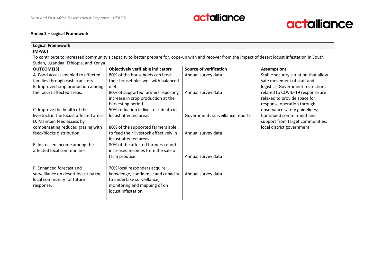

#### **Annex 3 – Logical Framework**

| <b>Logical Framework</b>               |                                                                                                                                                       |                                  |                                      |
|----------------------------------------|-------------------------------------------------------------------------------------------------------------------------------------------------------|----------------------------------|--------------------------------------|
| <b>IMPACT</b>                          |                                                                                                                                                       |                                  |                                      |
|                                        | To contribute to increased community's capacity to better prepare for, cope-up with and recover from the impact of desert locust infestation in South |                                  |                                      |
| Sudan, Ugandaa, Ethiopia, and Kenya.   |                                                                                                                                                       |                                  |                                      |
| <b>OUTCOME(S)</b>                      | <b>Objectively verifiable indicators</b>                                                                                                              | <b>Source of verification</b>    | <b>Assumptions</b>                   |
| A. Food access enabled to affected     | 80% of the households can feed                                                                                                                        | Annual survey data               | Stable security situation that allow |
| families through cash transfers        | their households well with balanced                                                                                                                   |                                  | safe movement of staff and           |
| B. Improved crop production among      | diet.                                                                                                                                                 |                                  | logistics; Government restrictions   |
| the locust affected areas.             | 80% of supported farmers reporting                                                                                                                    | Annual survey data               | related to COVID-19 response are     |
|                                        | increase in crop production at the                                                                                                                    |                                  | relaxed to provide space for         |
|                                        | harvesting period                                                                                                                                     |                                  | response operation through           |
| C. Improve the health of the           | 50% reduction in livestock death in                                                                                                                   |                                  | observance safety guidelines;        |
| livestock in the locust affected areas | locust affected areas                                                                                                                                 | Governments surveillance reports | Continued commitment and             |
| D. Maintain feed access by             |                                                                                                                                                       |                                  | support from target communities,     |
| compensating reduced grazing with      | 80% of the supported farmers able                                                                                                                     |                                  | local district government            |
| feed/blocks distribution               | to feed their livestock effectively in                                                                                                                | Annual survey data               |                                      |
|                                        | locust affected areas                                                                                                                                 |                                  |                                      |
| E. Increased income among the          | 80% of the affected farmers report                                                                                                                    |                                  |                                      |
| affected local communities             | increased incomes from the sale of                                                                                                                    |                                  |                                      |
|                                        | farm produce.                                                                                                                                         | Annual survey data               |                                      |
|                                        |                                                                                                                                                       |                                  |                                      |
| F. Enhanced forecast and               | 70% local responders acquire                                                                                                                          |                                  |                                      |
| surveillance on desert locust by the   | knowledge, confidence and capacity                                                                                                                    | Annual survey data               |                                      |
| local community for future             | to undertake surveillance,                                                                                                                            |                                  |                                      |
| response.                              | monitoring and mapping of on                                                                                                                          |                                  |                                      |
|                                        | locust infestation.                                                                                                                                   |                                  |                                      |
|                                        |                                                                                                                                                       |                                  |                                      |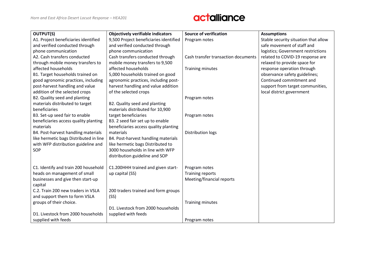| <b>OUTPUT(S)</b>                       | <b>Objectively verifiable indicators</b> | <b>Source of verification</b>       | <b>Assumptions</b>                   |
|----------------------------------------|------------------------------------------|-------------------------------------|--------------------------------------|
| A1. Project beneficiaries identified   | 9,500 Project beneficiaries identified   | Program notes                       | Stable security situation that allow |
| and verified conducted through         | and verified conducted through           |                                     | safe movement of staff and           |
| phone communication                    | phone communication                      |                                     | logistics; Government restrictions   |
| A2. Cash transfers conducted           | Cash transfers conducted through         | Cash transfer transaction documents | related to COVID-19 response are     |
| through mobile money transfers to      | mobile money transfers to 9,500          |                                     | relaxed to provide space for         |
| affected households                    | affected households                      | Training minutes                    | response operation through           |
| B1. Target households trained on       | 5,000 households trained on good         |                                     | observance safety guidelines;        |
| good agronomic practices, including    | agronomic practices, including post-     |                                     | Continued commitment and             |
| post-harvest handling and value        | harvest handling and value addition      |                                     | support from target communities,     |
| addition of the selected crops         | of the selected crops                    |                                     | local district government            |
| B2. Quality seed and planting          |                                          | Program notes                       |                                      |
| materials distributed to target        | B2. Quality seed and planting            |                                     |                                      |
| beneficiaries                          | materials distributed for 10,900         |                                     |                                      |
| B3. Set-up seed fair to enable         | target beneficiaries                     | Program notes                       |                                      |
| beneficiaries access quality planting  | B3. 2 seed fair set up to enable         |                                     |                                      |
| materials                              | beneficiaries access quality planting    |                                     |                                      |
| B4. Post-harvest handling materials    | materials                                | Distribution logs                   |                                      |
| like hermetic bags Distributed in line | B4. Post-harvest handling materials      |                                     |                                      |
| with WFP distribution guideline and    | like hermetic bags Distributed to        |                                     |                                      |
| SOP                                    | 3000 households in line with WFP         |                                     |                                      |
|                                        | distribution guideline and SOP           |                                     |                                      |
|                                        |                                          |                                     |                                      |
| C1. Identify and train 200 household   | C1.200HHH trained and given start-       | Program notes                       |                                      |
| heads on management of small           | up capital (SS)                          | <b>Training reports</b>             |                                      |
| businesses and give then start-up      |                                          | Meeting/financial reports           |                                      |
| capital                                |                                          |                                     |                                      |
| C.2. Train 200 new traders in VSLA     | 200 traders trained and form groups      |                                     |                                      |
| and support them to form VSLA          | (SS)                                     |                                     |                                      |
| groups of their choice.                |                                          | Training minutes                    |                                      |
|                                        | D1. Livestock from 2000 households       |                                     |                                      |
| D1. Livestock from 2000 households     | supplied with feeds                      |                                     |                                      |
| supplied with feeds                    |                                          | Program notes                       |                                      |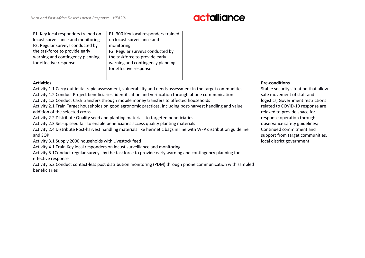

| F1. Key local responders trained on<br>locust surveillance and monitoring<br>F2. Regular surveys conducted by<br>the taskforce to provide early<br>warning and contingency planning<br>for effective response                                                                                                                                                                                                                                                                                                                                                                                                                                                                                                                                                                                                                                                                                                                                                                                                                                                                                                                                                                                                                      | F1. 300 Key local responders trained<br>on locust surveillance and<br>monitoring<br>F2. Regular surveys conducted by<br>the taskforce to provide early<br>warning and contingency planning<br>for effective response                                                                                                                                              |  |  |
|------------------------------------------------------------------------------------------------------------------------------------------------------------------------------------------------------------------------------------------------------------------------------------------------------------------------------------------------------------------------------------------------------------------------------------------------------------------------------------------------------------------------------------------------------------------------------------------------------------------------------------------------------------------------------------------------------------------------------------------------------------------------------------------------------------------------------------------------------------------------------------------------------------------------------------------------------------------------------------------------------------------------------------------------------------------------------------------------------------------------------------------------------------------------------------------------------------------------------------|-------------------------------------------------------------------------------------------------------------------------------------------------------------------------------------------------------------------------------------------------------------------------------------------------------------------------------------------------------------------|--|--|
| <b>Activities</b><br>Activity 1.1 Carry out initial rapid assessment, vulnerability and needs assessment in the target communities<br>Activity 1.2 Conduct Project beneficiaries' identification and verification through phone communication<br>Activity 1.3 Conduct Cash transfers through mobile money transfers to affected households<br>Activity 2.1 Train Target households on good agronomic practices, including post-harvest handling and value<br>addition of the selected crops<br>Activity 2.2 Distribute Quality seed and planting materials to targeted beneficiaries<br>Activity 2.3 Set-up seed fair to enable beneficiaries access quality planting materials<br>Activity 2.4 Distribute Post-harvest handling materials like hermetic bags in line with WFP distribution guideline<br>and SOP<br>Activity 3.1 Supply 2000 households with Livestock feed<br>Activity 4.1 Train Key local responders on locust surveillance and monitoring<br>Activity 5.1Conduct regular surveys by the taskforce to provide early warning and contingency planning for<br>effective response<br>Activity 5.2 Conduct contact-less post distribution monitoring (PDM) through phone communication with sampled<br>beneficiaries | <b>Pre-conditions</b><br>Stable security situation that allow<br>safe movement of staff and<br>logistics; Government restrictions<br>related to COVID-19 response are<br>relaxed to provide space for<br>response operation through<br>observance safety guidelines;<br>Continued commitment and<br>support from target communities,<br>local district government |  |  |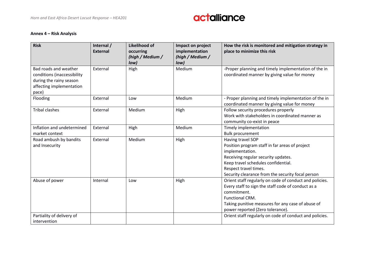#### **Annex 4 – Risk Analysis**

| <b>Risk</b>                                                                                                          | Internal /<br><b>External</b> | Likelihood of<br>occurring<br>(high / Medium / | Impact on project<br>implementation<br>(high / Medium / | How the risk is monitored and mitigation strategy in<br>place to minimize this risk                                                                                                                                                                |
|----------------------------------------------------------------------------------------------------------------------|-------------------------------|------------------------------------------------|---------------------------------------------------------|----------------------------------------------------------------------------------------------------------------------------------------------------------------------------------------------------------------------------------------------------|
| Bad roads and weather<br>conditions (inaccessibility<br>during the rainy season<br>affecting implementation<br>pace) | External                      | low)<br>High                                   | low)<br>Medium                                          | -Proper planning and timely implementation of the in<br>coordinated manner by giving value for money                                                                                                                                               |
| Flooding                                                                                                             | External                      | Low                                            | Medium                                                  | - Proper planning and timely implementation of the in<br>coordinated manner by giving value for money                                                                                                                                              |
| <b>Tribal clashes</b>                                                                                                | External                      | Medium                                         | High                                                    | Follow security procedures properly<br>Work with stakeholders in coordinated manner as<br>community co-exist in peace                                                                                                                              |
| Inflation and undetermined<br>market context                                                                         | External                      | High                                           | Medium                                                  | Timely implementation<br><b>Bulk procurement</b>                                                                                                                                                                                                   |
| Road ambush by bandits<br>and Insecurity                                                                             | External                      | Medium                                         | High                                                    | Having travel SOP<br>Position program staff in far areas of project<br>implementation.<br>Receiving regular security updates.<br>Keep travel schedules confidential.<br>Respect travel times.<br>Security clearance from the security focal person |
| Abuse of power                                                                                                       | Internal                      | Low                                            | High                                                    | Orient staff regularly on code of conduct and policies.<br>Every staff to sign the staff code of conduct as a<br>commitment.<br>Functional CRM.<br>Taking punitive measures for any case of abuse of<br>power reported (Zero tolerance).           |
| Partiality of delivery of<br>intervention                                                                            |                               |                                                |                                                         | Orient staff regularly on code of conduct and policies.                                                                                                                                                                                            |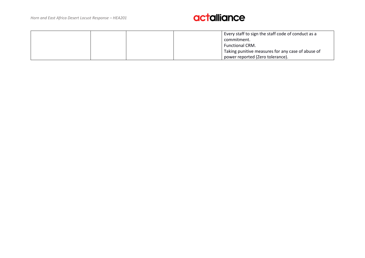|  | Every staff to sign the staff code of conduct as a |
|--|----------------------------------------------------|
|  | commitment.                                        |
|  | <b>Functional CRM.</b>                             |
|  | Taking punitive measures for any case of abuse of  |
|  | power reported (Zero tolerance).                   |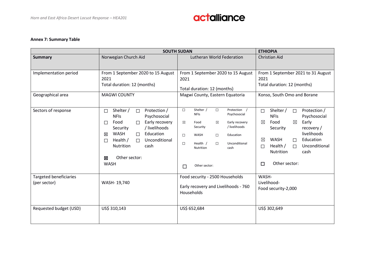

#### **Annex 7: Summary Table**

|                                               | <b>SOUTH SUDAN</b>                                                                                            | <b>ETHIOPIA</b>                                                                                                    |                                                                                                                                   |
|-----------------------------------------------|---------------------------------------------------------------------------------------------------------------|--------------------------------------------------------------------------------------------------------------------|-----------------------------------------------------------------------------------------------------------------------------------|
| <b>Summary</b>                                | Norwegian Church Aid                                                                                          | Lutheran World Federation                                                                                          | <b>Christian Aid</b>                                                                                                              |
| Implementation period                         | From 1 September 2020 to 15 August<br>2021<br>Total duration: 12 (months)                                     | From 1 September 2020 to 15 August<br>2021<br>Total duration: 12 (months)                                          | From 1 September 2021 to 31 August<br>2021<br>Total duration: 12 (months)                                                         |
| Geographical area                             | <b>MAGWI COUNTY</b>                                                                                           | Magwi County, Eastern Equatoria                                                                                    | Konso, South Omo and Borane                                                                                                       |
| Sectors of response                           | Shelter /<br>Protection /<br>$\Box$<br>□<br><b>NFIs</b><br>Psychosocial                                       | Shelter /<br>Protection<br>$\Box$<br>$\Box$<br><b>NFIs</b><br>Psychosocial                                         | Shelter /<br>Protection /<br>$\Box$<br>$\Box$<br><b>NFIs</b><br>Psychosocial                                                      |
|                                               | Early recovery<br>Food<br>$\Box$<br>$\Box$<br>/ livelihoods<br>Security                                       | Early recovery<br>$\boxtimes$<br>$\boxtimes$<br>Food<br>/ livelihoods<br>Security                                  | $\boxtimes$<br>Food<br>⊠<br>Early<br>Security<br>recovery /                                                                       |
|                                               | <b>WASH</b><br>Education<br>区<br>$\Box$<br>Health /<br>Unconditional<br>$\Box$<br>$\Box$<br>Nutrition<br>cash | Education<br>$\Box$<br><b>WASH</b><br>$\Box$<br>Health /<br>Unconditional<br>$\Box$<br>$\Box$<br>Nutrition<br>cash | livelihoods<br><b>WASH</b><br>Education<br>$\boxtimes$<br>П<br>Health /<br>Unconditional<br>$\Box$<br>$\Box$<br>Nutrition<br>cash |
|                                               | Other sector:<br>$\boxtimes$<br><b>WASH</b>                                                                   | Other sector:<br>$\Box$                                                                                            | Other sector:<br>□                                                                                                                |
| <b>Targeted beneficiaries</b><br>(per sector) | WASH-19,740                                                                                                   | Food security - 2500 Households<br>Early recovery and Livelihoods - 760<br>Households                              | WASH-<br>Livelihood-<br>Food security-2,000                                                                                       |
| Requested budget (USD)                        | US\$ 310,143                                                                                                  | US\$ 652,684                                                                                                       | US\$ 302,649                                                                                                                      |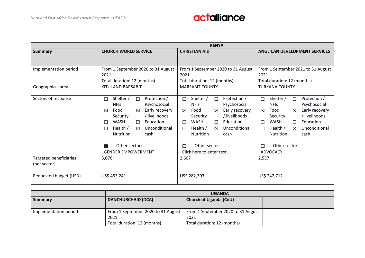|                               | <b>KENYA</b>                             |                                              |                                          |  |
|-------------------------------|------------------------------------------|----------------------------------------------|------------------------------------------|--|
| <b>Summary</b>                | <b>CHURCH WORLD SERVICE</b>              | <b>CHRISTIAN AID</b>                         | <b>ANGLICAN DEVELOPMENT SERVICES</b>     |  |
|                               |                                          |                                              |                                          |  |
| Implementation period         | From 1 September 2020 to 31 August       | From 1 September 2020 to 31 August           | From 1 September 2021 to 31 August       |  |
|                               | 2021                                     | 2021                                         | 2021                                     |  |
|                               | Total duration: 12 (months)              | Total duration: 12 (months)                  | Total duration: 12 (months)              |  |
| Geographical area             | KITUI AND BARSABIT                       | <b>MARSABIT COUNTY</b>                       | <b>TURKANA COUNTY</b>                    |  |
|                               |                                          |                                              |                                          |  |
| Sectors of response           | Protection /<br>Shelter /<br>$\Box$<br>□ | Protection /<br>Shelter /<br>П               | Shelter /<br>Protection /<br>$\Box$<br>П |  |
|                               | <b>NFIs</b><br>Psychosocial              | <b>NFIS</b><br>Psychosocial                  | <b>NFIS</b><br>Psychosocial              |  |
|                               | Early recovery<br>Food<br>冈<br>区         | Early recovery<br>Food<br>冈<br>区             | Early recovery<br>Food<br>冈<br>冈         |  |
|                               | / livelihoods<br>Security                | / livelihoods<br>Security                    | / livelihoods<br>Security                |  |
|                               | <b>WASH</b><br>Education<br>П<br>$\Box$  | <b>WASH</b><br>Education<br>$\Box$<br>$\Box$ | WASH<br>Education<br>$\Box$<br>П         |  |
|                               | Health /<br>Unconditional<br>П<br>冈      | Health $/$<br>Unconditional<br>冈<br>$\Box$   | Health /<br>Unconditional<br>⊠<br>$\Box$ |  |
|                               | <b>Nutrition</b><br>cash                 | <b>Nutrition</b><br>cash                     | <b>Nutrition</b><br>cash                 |  |
|                               |                                          |                                              |                                          |  |
|                               | Other sector:<br>⊠                       | Other sector:<br>$\Box$                      | Other sector:<br>□                       |  |
|                               | <b>GENDER EMPOWERMENT</b>                | Click here to enter text.                    | ADVOCACY                                 |  |
| <b>Targeted beneficiaries</b> | 5,070                                    | 2,607                                        | 2,537                                    |  |
| (per sector)                  |                                          |                                              |                                          |  |
|                               |                                          |                                              |                                          |  |
| Requested budget (USD)        | US\$ 453,241                             | US\$ 282,303                                 | US\$ 242,712                             |  |
|                               |                                          |                                              |                                          |  |

|                       | <b>UGANDA</b>                      |                                    |  |
|-----------------------|------------------------------------|------------------------------------|--|
| Summary               | <b>DANCHURCHAID (DCA)</b>          | <b>Church of Uganda (CoU)</b>      |  |
|                       |                                    |                                    |  |
| Implementation period | From 1 September 2020 to 31 August | From 1 September 2020 to 31 August |  |
|                       | 2021                               | 2021                               |  |
|                       | Total duration: 12 (months)        | Total duration: 12 (months)        |  |